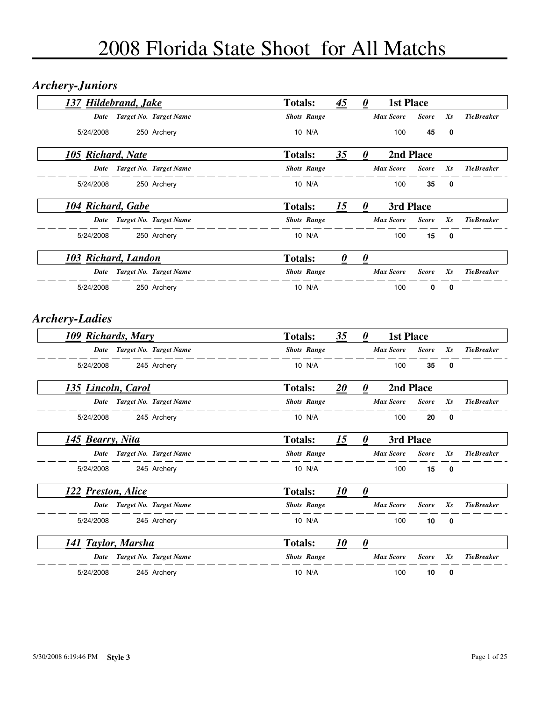### *Archery-Juniors*

| <b>137 Hildebrand, Jake</b>                        |                             | <b>Totals:</b>     | 45                    | 0                     | <b>1st Place</b> |              |             |                   |  |
|----------------------------------------------------|-----------------------------|--------------------|-----------------------|-----------------------|------------------|--------------|-------------|-------------------|--|
|                                                    | Date Target No. Target Name | <b>Shots Range</b> |                       |                       | Max Score        | <b>Score</b> | Xs          | <b>TieBreaker</b> |  |
| 5/24/2008                                          | 250 Archery                 | 10 N/A             |                       |                       | 100              | 45           | 0           |                   |  |
| 105 Richard, Nate                                  |                             | <b>Totals:</b>     | 35                    | 0                     | 2nd Place        |              |             |                   |  |
|                                                    | Date Target No. Target Name | <b>Shots Range</b> |                       |                       | <b>Max Score</b> | <b>Score</b> | Xs          | <b>TieBreaker</b> |  |
| 5/24/2008                                          | 250 Archery                 | 10 N/A             |                       |                       | 100              | 35           | $\mathbf 0$ |                   |  |
| 104 Richard, Gabe                                  |                             | <b>Totals:</b>     | 15                    | $\boldsymbol{\theta}$ | 3rd Place        |              |             |                   |  |
|                                                    | Date Target No. Target Name | <b>Shots Range</b> |                       |                       | Max Score        | <b>Score</b> | Xs          | <b>TieBreaker</b> |  |
| 5/24/2008                                          | 250 Archery                 | 10 N/A             |                       |                       | 100              | 15           | 0           |                   |  |
| 103 Richard, Landon                                |                             | <b>Totals:</b>     | $\boldsymbol{\theta}$ | $\boldsymbol{\theta}$ |                  |              |             |                   |  |
|                                                    | Date Target No. Target Name | <b>Shots Range</b> |                       |                       | <b>Max Score</b> | <b>Score</b> | Xs          | <b>TieBreaker</b> |  |
| 5/24/2008                                          | 250 Archery                 | 10 N/A             |                       |                       | 100              | 0            | $\mathbf 0$ |                   |  |
| <b>Archery-Ladies</b><br><b>109 Richards, Mary</b> |                             | <b>Totals:</b>     | 35                    | 0                     | <b>1st Place</b> |              |             |                   |  |
|                                                    | Date Target No. Target Name | <b>Shots Range</b> |                       |                       | <b>Max Score</b> | <b>Score</b> | Xs          | <b>TieBreaker</b> |  |
| 5/24/2008                                          | 245 Archery                 | 10 N/A             |                       |                       | 100              | 35           | $\mathbf 0$ |                   |  |
| <u>135 Lincoln, Carol</u>                          |                             | <b>Totals:</b>     | 20                    | 0                     | 2nd Place        |              |             |                   |  |
|                                                    | Date Target No. Target Name | <b>Shots Range</b> |                       |                       | Max Score        | <b>Score</b> | Xs          | <b>TieBreaker</b> |  |
| 5/24/2008                                          | 245 Archery                 | 10 N/A             |                       |                       | 100              | 20           | 0           |                   |  |
| 145 Bearry, Nita                                   |                             | <b>Totals:</b>     | 15                    | $\boldsymbol{\theta}$ | 3rd Place        |              |             |                   |  |
|                                                    | Date Target No. Target Name | <b>Shots Range</b> |                       |                       | <b>Max Score</b> | <b>Score</b> | Xs          | <b>TieBreaker</b> |  |
| 5/24/2008                                          | 245 Archery                 | 10 N/A             |                       |                       | 100              | 15           | 0           |                   |  |
| 122 Preston, Alice                                 |                             | <b>Totals:</b>     | <u>10</u>             | 0                     |                  |              |             |                   |  |
| Date                                               | Target No. Target Name      | <b>Shots Range</b> |                       |                       | <b>Max Score</b> | <b>Score</b> | Xs          | <b>TieBreaker</b> |  |
| 5/24/2008                                          | 245 Archery                 | 10 N/A             |                       |                       | 100              | 10           | 0           |                   |  |
| 141 Taylor, Marsha                                 |                             | <b>Totals:</b>     | 10                    | $\boldsymbol{\theta}$ |                  |              |             |                   |  |
| Date                                               | Target No. Target Name      | <b>Shots Range</b> |                       |                       | <b>Max Score</b> | <b>Score</b> | Xs          | <b>TieBreaker</b> |  |
|                                                    |                             |                    |                       |                       |                  |              |             |                   |  |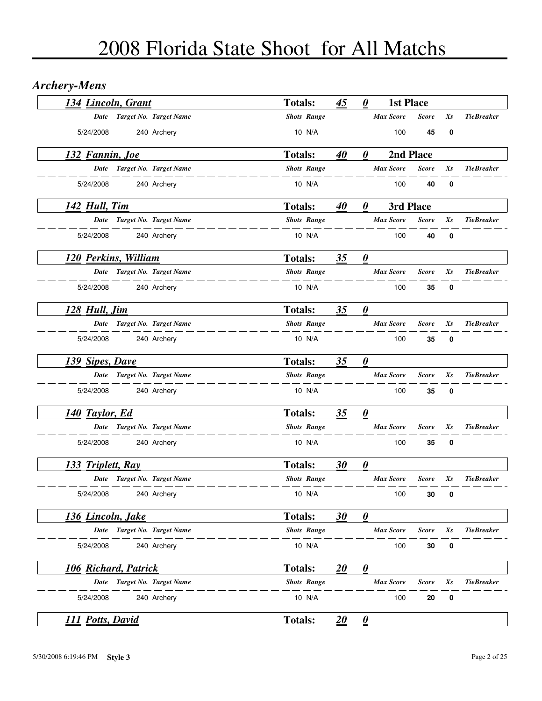### *Archery-Mens*

| 134 Lincoln, Grant      |                             | <b>Totals:</b>     | 45 | 0                                 | <b>1st Place</b> |              |    |                   |
|-------------------------|-----------------------------|--------------------|----|-----------------------------------|------------------|--------------|----|-------------------|
|                         | Date Target No. Target Name | <b>Shots Range</b> |    |                                   | <b>Max Score</b> | <b>Score</b> | Xs | <b>TieBreaker</b> |
| 5/24/2008               | 240 Archery                 | 10 N/A             |    |                                   | 100              | 45           | 0  |                   |
| <u>132 Fannin, Joe</u>  |                             | <b>Totals:</b>     | 40 | 0                                 |                  | 2nd Place    |    |                   |
| Date                    | Target No. Target Name      | <b>Shots Range</b> |    |                                   | <b>Max Score</b> | <b>Score</b> | Xs | <b>TieBreaker</b> |
| 5/24/2008               | 240 Archery                 | 10 N/A             |    |                                   | 100              | 40           | 0  |                   |
| 142 Hull, Tim           |                             | <b>Totals:</b>     | 40 | 0                                 |                  | 3rd Place    |    |                   |
|                         | Date Target No. Target Name | <b>Shots Range</b> |    |                                   | <b>Max Score</b> | <b>Score</b> | Xs | <b>TieBreaker</b> |
| 5/24/2008               | 240 Archery                 | 10 N/A             |    |                                   | 100              | 40           | 0  |                   |
| 120 Perkins, William    |                             | <b>Totals:</b>     | 35 | $\boldsymbol{\theta}$             |                  |              |    |                   |
|                         | Date Target No. Target Name | <b>Shots Range</b> |    |                                   | <b>Max Score</b> | <b>Score</b> | Xs | <b>TieBreaker</b> |
| 5/24/2008               | 240 Archery                 | 10 N/A             |    |                                   | 100              | 35           | 0  |                   |
| 128 Hull, Jim           |                             | <b>Totals:</b>     | 35 | $\boldsymbol{\theta}$             |                  |              |    |                   |
|                         | Date Target No. Target Name | <b>Shots Range</b> |    |                                   | <b>Max Score</b> | <b>Score</b> | Xs | <b>TieBreaker</b> |
| 5/24/2008               | 240 Archery                 | 10 N/A             |    |                                   | 100              | 35           | 0  |                   |
| 139 Sipes, Dave         |                             | <b>Totals:</b>     | 35 | $\boldsymbol{\theta}$             |                  |              |    |                   |
|                         | Date Target No. Target Name | <b>Shots Range</b> |    |                                   | Max Score        | <b>Score</b> | Xs | <b>TieBreaker</b> |
| 5/24/2008               | 240 Archery                 | 10 N/A             |    |                                   | 100              | 35           | 0  |                   |
| 140 Taylor, Ed          |                             | <b>Totals:</b>     | 35 | $\boldsymbol{\theta}$             |                  |              |    |                   |
| Date                    | Target No. Target Name      | <b>Shots Range</b> |    |                                   | <b>Max Score</b> | <b>Score</b> | Xs | <b>TieBreaker</b> |
| 5/24/2008               | 240 Archery                 | 10 N/A             |    |                                   | 100              | 35           | 0  |                   |
| 133 Triplett, Ray       |                             | <b>Totals:</b>     | 30 | $\boldsymbol{\underline{\theta}}$ |                  |              |    |                   |
|                         | Date Target No. Target Name | <b>Shots Range</b> |    |                                   | <b>Max Score</b> | <b>Score</b> | Xs | <b>TieBreaker</b> |
| 5/24/2008               | 240 Archery                 | 10 N/A             |    |                                   | 100              | 30           | 0  |                   |
| 136 Lincoln, Jake       |                             | <b>Totals:</b>     | 30 | $\boldsymbol{\theta}$             |                  |              |    |                   |
| Date                    | Target No. Target Name      | <b>Shots Range</b> |    |                                   | <b>Max Score</b> | <b>Score</b> | Xs | <b>TieBreaker</b> |
| 5/24/2008               | 240 Archery                 | 10 N/A             |    |                                   | 100              | 30           | 0  |                   |
| 106 Richard, Patrick    |                             | <b>Totals:</b>     | 20 | $\boldsymbol{\theta}$             |                  |              |    |                   |
| Date                    | Target No. Target Name      | <b>Shots Range</b> |    |                                   | Max Score        | <b>Score</b> | Xs | <b>TieBreaker</b> |
| 5/24/2008               | 240 Archery                 | 10 N/A             |    |                                   | 100              | 20           | 0  |                   |
| <b>111 Potts, David</b> |                             | <b>Totals:</b>     | 20 | $\mathbf{\underline{\theta}}$     |                  |              |    |                   |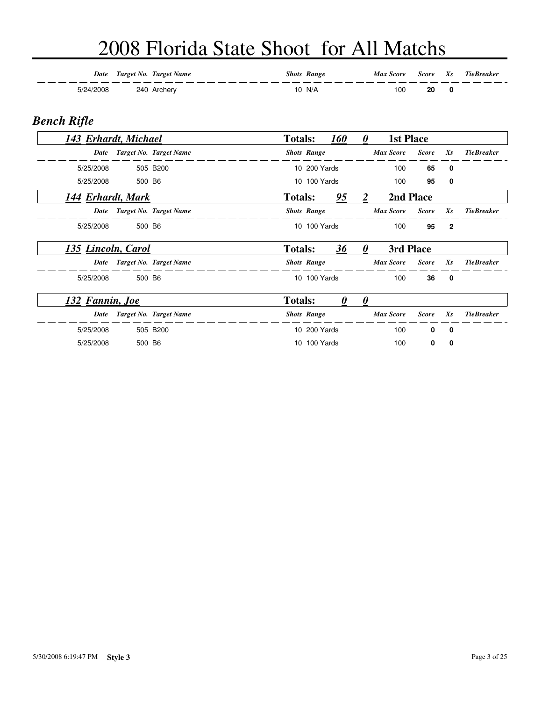| Date      | Target No. Target Name | <b>Shots Range</b> | <b>Max Score</b> | Score Xs | <b>TieBreaker</b> |
|-----------|------------------------|--------------------|------------------|----------|-------------------|
| -724/2008 | 240 Archery            | 10 N/A             | 100              | 20       |                   |

#### *Bench Rifle*

| 143 Erhardt, Michael |        |                             | <b>Totals:</b> |                    | <b>160</b> | $\boldsymbol{\theta}$ | <b>1st Place</b> |              |                |                   |
|----------------------|--------|-----------------------------|----------------|--------------------|------------|-----------------------|------------------|--------------|----------------|-------------------|
| Date                 |        | Target No. Target Name      |                | <b>Shots Range</b> |            |                       | <b>Max Score</b> | <b>Score</b> | $X_{S}$        | <b>TieBreaker</b> |
| 5/25/2008            |        | 505 B200                    |                | 10 200 Yards       |            |                       | 100              | 65           | 0              |                   |
| 5/25/2008            | 500 B6 |                             |                | 10 100 Yards       |            |                       | 100              | 95           | 0              |                   |
| 144 Erhardt, Mark    |        |                             | <b>Totals:</b> |                    | 95         | 2                     | 2nd Place        |              |                |                   |
| Date                 |        | Target No. Target Name      |                | <b>Shots Range</b> |            |                       | <b>Max Score</b> | <b>Score</b> | $X_{S}$        | <b>TieBreaker</b> |
| 5/25/2008            | 500 B6 |                             |                | 10 100 Yards       |            |                       | 100              | 95           | $\overline{2}$ |                   |
| 135 Lincoln, Carol   |        |                             | <b>Totals:</b> |                    | 36         | 0                     | 3rd Place        |              |                |                   |
|                      |        | Date Target No. Target Name |                | <b>Shots Range</b> |            |                       | <b>Max Score</b> | <b>Score</b> | $X_{S}$        | <b>TieBreaker</b> |
| 5/25/2008            | 500 B6 |                             |                | 10 100 Yards       |            |                       | 100              | 36           | $\mathbf{0}$   |                   |
| 132 Fannin, Joe      |        |                             | <b>Totals:</b> |                    | $\theta$   | $\theta$              |                  |              |                |                   |
| Date                 |        | Target No. Target Name      |                | <b>Shots Range</b> |            |                       | <b>Max Score</b> | <b>Score</b> | $X_{S}$        | <b>TieBreaker</b> |
| 5/25/2008            |        | 505 B200                    |                | 10 200 Yards       |            |                       | 100              | 0            | 0              |                   |
| 5/25/2008            | 500 B6 |                             |                | 10 100 Yards       |            |                       | 100              | 0            | 0              |                   |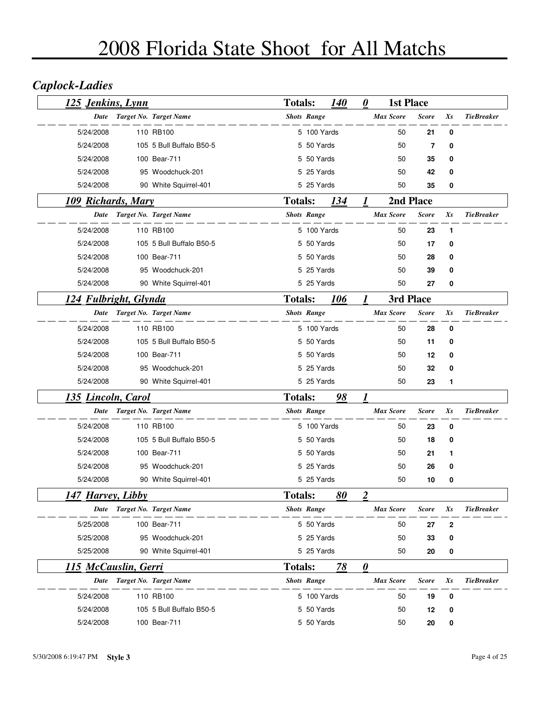## *Caplock-Ladies*

| 125 Jenkins, Lynn         |                          | <b>Totals:</b> |                    | <i>140</i>  | $\boldsymbol{\theta}$ | <b>1st Place</b> |              |         |                   |
|---------------------------|--------------------------|----------------|--------------------|-------------|-----------------------|------------------|--------------|---------|-------------------|
| Date                      | Target No. Target Name   |                | <b>Shots Range</b> |             |                       | <b>Max Score</b> | <b>Score</b> | Xs      | <b>TieBreaker</b> |
| 5/24/2008                 | 110 RB100                |                | 5 100 Yards        |             |                       | 50               | 21           | 0       |                   |
| 5/24/2008                 | 105 5 Bull Buffalo B50-5 |                | 5 50 Yards         |             |                       | 50               | 7            | 0       |                   |
| 5/24/2008                 | 100 Bear-711             |                | 5 50 Yards         |             |                       | 50               | 35           | 0       |                   |
| 5/24/2008                 | 95 Woodchuck-201         |                | 5 25 Yards         |             |                       | 50               | 42           | 0       |                   |
| 5/24/2008                 | 90 White Squirrel-401    |                | 5 25 Yards         |             |                       | 50               | 35           | 0       |                   |
| 109 Richards, Mary        |                          | <b>Totals:</b> |                    | <u> 134</u> | 1                     |                  | 2nd Place    |         |                   |
| Date                      | Target No. Target Name   |                | <b>Shots Range</b> |             |                       | <b>Max Score</b> | <b>Score</b> | $X_{S}$ | <b>TieBreaker</b> |
| 5/24/2008                 | 110 RB100                |                | 5 100 Yards        |             |                       | 50               | 23           | 1       |                   |
| 5/24/2008                 | 105 5 Bull Buffalo B50-5 |                | 5 50 Yards         |             |                       | 50               | 17           | 0       |                   |
| 5/24/2008                 | 100 Bear-711             |                | 5 50 Yards         |             |                       | 50               | 28           | 0       |                   |
| 5/24/2008                 | 95 Woodchuck-201         |                | 5 25 Yards         |             |                       | 50               | 39           | 0       |                   |
| 5/24/2008                 | 90 White Squirrel-401    |                | 5 25 Yards         |             |                       | 50               | 27           | 0       |                   |
| 124 Fulbright, Glynda     |                          | <b>Totals:</b> |                    | 106         | 1                     | 3rd Place        |              |         |                   |
| Date                      | Target No. Target Name   |                | <b>Shots Range</b> |             |                       | Max Score        | Score        | $X_{S}$ | <b>TieBreaker</b> |
| 5/24/2008                 | 110 RB100                |                | 5 100 Yards        |             |                       | 50               | 28           | 0       |                   |
| 5/24/2008                 | 105 5 Bull Buffalo B50-5 |                | 5 50 Yards         |             |                       | 50               | 11           | 0       |                   |
| 5/24/2008                 | 100 Bear-711             |                | 5 50 Yards         |             |                       | 50               | 12           | 0       |                   |
| 5/24/2008                 | 95 Woodchuck-201         |                | 5 25 Yards         |             |                       | 50               | 32           | 0       |                   |
| 5/24/2008                 | 90 White Squirrel-401    |                | 5 25 Yards         |             |                       | 50               | 23           | 1       |                   |
| <u>135 Lincoln, Carol</u> |                          | <b>Totals:</b> |                    | 98          | 1                     |                  |              |         |                   |
| <b>Date</b>               | Target No. Target Name   |                | <b>Shots Range</b> |             |                       | <b>Max Score</b> | Score        | Xs      | <b>TieBreaker</b> |
| 5/24/2008                 | 110 RB100                |                | 5 100 Yards        |             |                       | 50               | 23           | 0       |                   |
| 5/24/2008                 | 105 5 Bull Buffalo B50-5 |                | 5 50 Yards         |             |                       | 50               | 18           | 0       |                   |
| 5/24/2008                 | 100 Bear-711             |                | 5 50 Yards         |             |                       | 50               | 21           | 1       |                   |
| 5/24/2008                 | 95 Woodchuck-201         |                | 5 25 Yards         |             |                       | 50               | 26           | 0       |                   |
| 5/24/2008                 | 90 White Squirrel-401    |                | 5 25 Yards         |             |                       | 50               | 10           | 0       |                   |
| <u>147 Harvey, Libby</u>  |                          | <b>Totals:</b> |                    | 80          | 2                     |                  |              |         |                   |
| Date                      | Target No. Target Name   |                | <b>Shots Range</b> |             |                       | <b>Max Score</b> | <b>Score</b> | Xs      | <b>TieBreaker</b> |
| 5/25/2008                 | 100 Bear-711             |                | 5 50 Yards         |             |                       | 50               | 27           | 2       |                   |
| 5/25/2008                 | 95 Woodchuck-201         |                | 5 25 Yards         |             |                       | 50               | 33           | 0       |                   |
| 5/25/2008                 | 90 White Squirrel-401    |                | 5 25 Yards         |             |                       | 50               | 20           | 0       |                   |
| 115 McCauslin, Gerri      |                          | <b>Totals:</b> |                    | 78          | $\boldsymbol{\theta}$ |                  |              |         |                   |
| Date                      | Target No. Target Name   |                | <b>Shots Range</b> |             |                       | <b>Max Score</b> | Score        | Xs      | <b>TieBreaker</b> |
| 5/24/2008                 | 110 RB100                |                | 5 100 Yards        |             |                       | 50               | 19           | 0       |                   |
| 5/24/2008                 | 105 5 Bull Buffalo B50-5 |                | 5 50 Yards         |             |                       | 50               | 12           | 0       |                   |
| 5/24/2008                 | 100 Bear-711             |                | 5 50 Yards         |             |                       | 50               | 20           | 0       |                   |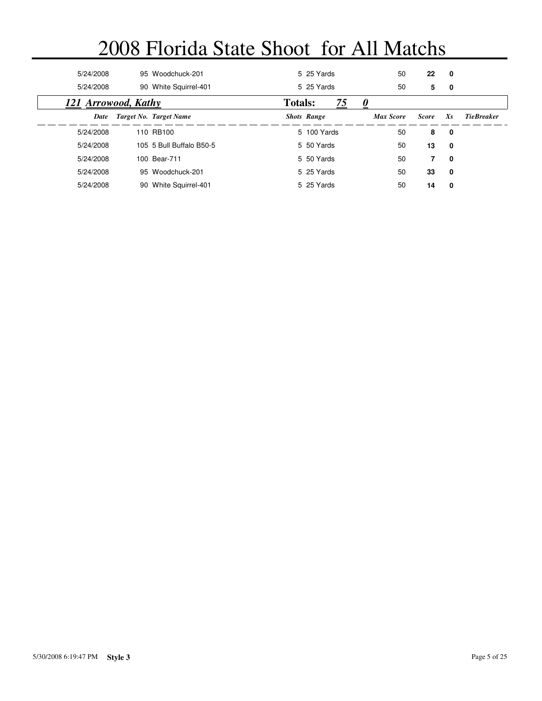| 5/24/2008           | 95 Woodchuck-201         |                | 5 25 Yards         |    | 50               | 22           | 0       |                   |
|---------------------|--------------------------|----------------|--------------------|----|------------------|--------------|---------|-------------------|
| 5/24/2008           | 90 White Squirrel-401    |                | 5 25 Yards         |    | 50               | 5            | 0       |                   |
| 121 Arrowood, Kathy |                          | <b>Totals:</b> |                    | 75 |                  |              |         |                   |
| Date                | Target No. Target Name   |                | <b>Shots Range</b> |    | <b>Max Score</b> | <b>Score</b> | $X_{S}$ | <b>TieBreaker</b> |
| 5/24/2008           | 110 RB100                |                | 5 100 Yards        |    | 50               | 8            | 0       |                   |
| 5/24/2008           | 105 5 Bull Buffalo B50-5 |                | 5 50 Yards         |    | 50               | 13           | 0       |                   |
| 5/24/2008           | 100 Bear-711             |                | 5 50 Yards         |    | 50               | 7            | 0       |                   |
| 5/24/2008           | 95 Woodchuck-201         |                | 5 25 Yards         |    | 50               | 33           | 0       |                   |
| 5/24/2008           | 90 White Squirrel-401    |                | 5 25 Yards         |    | 50               | 14           | 0       |                   |
|                     |                          |                |                    |    |                  |              |         |                   |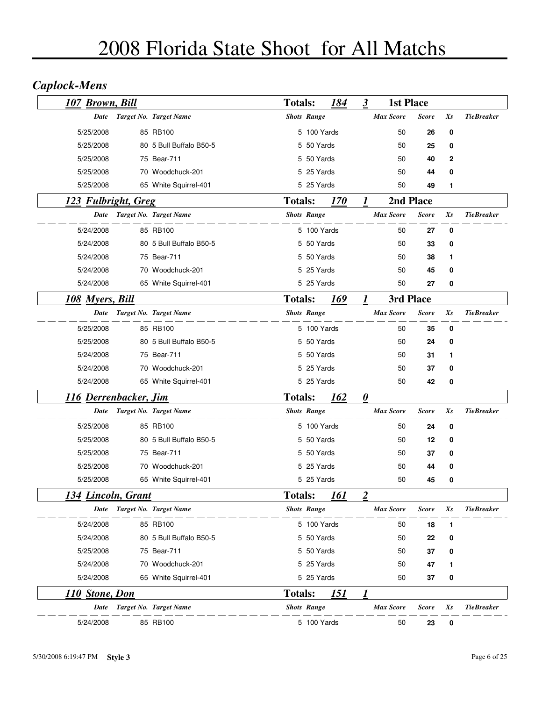## *Caplock-Mens*

| 107 Brown, Bill              |                         | <b>Totals:</b>     |             | 184         | 3 | <b>1st Place</b> |              |    |                   |
|------------------------------|-------------------------|--------------------|-------------|-------------|---|------------------|--------------|----|-------------------|
| Date                         | Target No. Target Name  | <b>Shots Range</b> |             |             |   | Max Score        | <b>Score</b> | Xs | <b>TieBreaker</b> |
| 5/25/2008                    | 85 RB100                |                    | 5 100 Yards |             |   | 50               | 26           | 0  |                   |
| 5/25/2008                    | 80 5 Bull Buffalo B50-5 |                    | 5 50 Yards  |             |   | 50               | 25           | 0  |                   |
| 5/25/2008                    | 75 Bear-711             |                    | 5 50 Yards  |             |   | 50               | 40           | 2  |                   |
| 5/25/2008                    | 70 Woodchuck-201        |                    | 5 25 Yards  |             |   | 50               | 44           | 0  |                   |
| 5/25/2008                    | 65 White Squirrel-401   |                    | 5 25 Yards  |             |   | 50               | 49           | 1  |                   |
| 123 Fulbright, Greg          |                         | <b>Totals:</b>     |             | <i>170</i>  | 1 | 2nd Place        |              |    |                   |
| Date                         | Target No. Target Name  | <b>Shots Range</b> |             |             |   | <b>Max Score</b> | <b>Score</b> | Xs | <b>TieBreaker</b> |
| 5/24/2008                    | 85 RB100                |                    | 5 100 Yards |             |   | 50               | 27           | 0  |                   |
| 5/24/2008                    | 80 5 Bull Buffalo B50-5 |                    | 5 50 Yards  |             |   | 50               | 33           | 0  |                   |
| 5/24/2008                    | 75 Bear-711             |                    | 5 50 Yards  |             |   | 50               | 38           | 1  |                   |
| 5/24/2008                    | 70 Woodchuck-201        |                    | 5 25 Yards  |             |   | 50               | 45           | 0  |                   |
| 5/24/2008                    | 65 White Squirrel-401   |                    | 5 25 Yards  |             |   | 50               | 27           | 0  |                   |
| 108 Myers, Bill              |                         | <b>Totals:</b>     |             | 169         | 1 | 3rd Place        |              |    |                   |
| <b>Date</b>                  | Target No. Target Name  | <b>Shots Range</b> |             |             |   | <b>Max Score</b> | <b>Score</b> | Xs | <b>TieBreaker</b> |
| 5/25/2008                    | 85 RB100                |                    | 5 100 Yards |             |   | 50               | 35           | 0  |                   |
| 5/25/2008                    | 80 5 Bull Buffalo B50-5 |                    | 5 50 Yards  |             |   | 50               | 24           | 0  |                   |
| 5/24/2008                    | 75 Bear-711             |                    | 5 50 Yards  |             |   | 50               | 31           | 1  |                   |
| 5/24/2008                    | 70 Woodchuck-201        |                    | 5 25 Yards  |             |   | 50               | 37           | 0  |                   |
| 5/24/2008                    | 65 White Squirrel-401   |                    | 5 25 Yards  |             |   | 50               | 42           | 0  |                   |
| <u>116 Derrenbacker, Jim</u> |                         | <b>Totals:</b>     |             | <u>162</u>  | 0 |                  |              |    |                   |
| Date                         | Target No. Target Name  | <b>Shots Range</b> |             |             |   | <b>Max Score</b> | <b>Score</b> | Xs | <b>TieBreaker</b> |
| 5/25/2008                    | 85 RB100                |                    | 5 100 Yards |             |   | 50               | 24           | 0  |                   |
| 5/25/2008                    | 80 5 Bull Buffalo B50-5 |                    | 5 50 Yards  |             |   | 50               | 12           | 0  |                   |
| 5/25/2008                    | 75 Bear-711             |                    | 5 50 Yards  |             |   | 50               | 37           | 0  |                   |
| 5/25/2008                    | 70 Woodchuck-201        |                    | 5 25 Yards  |             |   | 50               | 44           | 0  |                   |
| 5/25/2008                    | 65 White Squirrel-401   |                    | 5 25 Yards  |             |   | 50               | 45           | 0  |                   |
| <u> 134 Lincoln, Grant</u>   |                         | <b>Totals:</b>     |             | 161         | 2 |                  |              |    |                   |
| Date                         | Target No. Target Name  | <b>Shots Range</b> |             |             |   | <b>Max Score</b> | <b>Score</b> | Xs | <b>TieBreaker</b> |
| 5/24/2008                    | 85 RB100                |                    | 5 100 Yards |             |   | 50               | 18           | 1  |                   |
| 5/24/2008                    | 80 5 Bull Buffalo B50-5 |                    | 5 50 Yards  |             |   | 50               | 22           | 0  |                   |
| 5/25/2008                    | 75 Bear-711             |                    | 5 50 Yards  |             |   | 50               | 37           | 0  |                   |
| 5/24/2008                    | 70 Woodchuck-201        |                    | 5 25 Yards  |             |   | 50               | 47           | 1  |                   |
| 5/24/2008                    | 65 White Squirrel-401   |                    | 5 25 Yards  |             |   | 50               | 37           | 0  |                   |
| <u>110 Stone, Don</u>        |                         | <b>Totals:</b>     |             | <u> 151</u> | 1 |                  |              |    |                   |
| Date                         | Target No. Target Name  | <b>Shots Range</b> |             |             |   | <b>Max Score</b> | <b>Score</b> | Xs | <b>TieBreaker</b> |
| 5/24/2008                    | 85 RB100                |                    | 5 100 Yards |             |   | 50               | 23           | 0  |                   |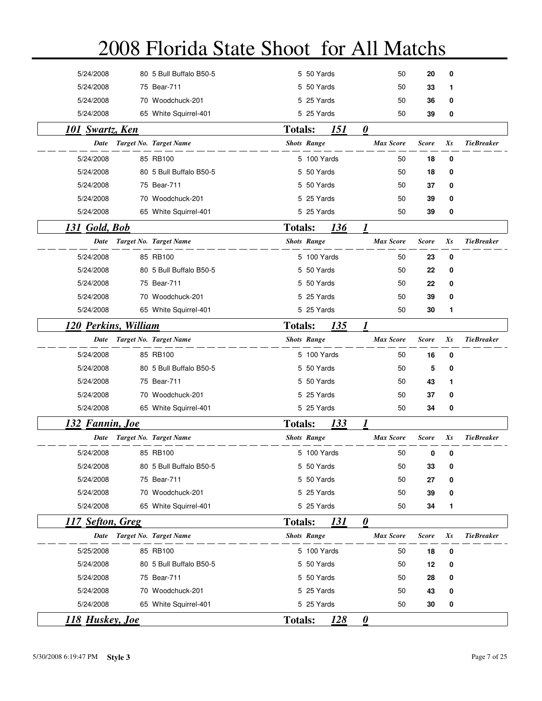| <b>118 Huskey</b> , <b>Joe</b> |                                                                                                                                                                                                                                                                                                                                                                                                                                                                                                                                                                                                                                                                                                                                                              |                                                                                        | $\boldsymbol{\underline{\theta}}$                                                                                                                                                                                                                                                                                                                                                                                                                                                                                                                                      |              |         |                   |
|--------------------------------|--------------------------------------------------------------------------------------------------------------------------------------------------------------------------------------------------------------------------------------------------------------------------------------------------------------------------------------------------------------------------------------------------------------------------------------------------------------------------------------------------------------------------------------------------------------------------------------------------------------------------------------------------------------------------------------------------------------------------------------------------------------|----------------------------------------------------------------------------------------|------------------------------------------------------------------------------------------------------------------------------------------------------------------------------------------------------------------------------------------------------------------------------------------------------------------------------------------------------------------------------------------------------------------------------------------------------------------------------------------------------------------------------------------------------------------------|--------------|---------|-------------------|
|                                |                                                                                                                                                                                                                                                                                                                                                                                                                                                                                                                                                                                                                                                                                                                                                              |                                                                                        | 50                                                                                                                                                                                                                                                                                                                                                                                                                                                                                                                                                                     | 30           | 0       |                   |
|                                |                                                                                                                                                                                                                                                                                                                                                                                                                                                                                                                                                                                                                                                                                                                                                              |                                                                                        | 50                                                                                                                                                                                                                                                                                                                                                                                                                                                                                                                                                                     | 43           | 0       |                   |
|                                |                                                                                                                                                                                                                                                                                                                                                                                                                                                                                                                                                                                                                                                                                                                                                              |                                                                                        | 50                                                                                                                                                                                                                                                                                                                                                                                                                                                                                                                                                                     | 28           | 0       |                   |
|                                |                                                                                                                                                                                                                                                                                                                                                                                                                                                                                                                                                                                                                                                                                                                                                              |                                                                                        | 50                                                                                                                                                                                                                                                                                                                                                                                                                                                                                                                                                                     | 12           | 0       |                   |
|                                |                                                                                                                                                                                                                                                                                                                                                                                                                                                                                                                                                                                                                                                                                                                                                              |                                                                                        | 50                                                                                                                                                                                                                                                                                                                                                                                                                                                                                                                                                                     | 18           | 0       |                   |
|                                |                                                                                                                                                                                                                                                                                                                                                                                                                                                                                                                                                                                                                                                                                                                                                              |                                                                                        | <b>Max Score</b>                                                                                                                                                                                                                                                                                                                                                                                                                                                                                                                                                       | <b>Score</b> | Xs      | <b>TieBreaker</b> |
| 117 Sefton, Greg               |                                                                                                                                                                                                                                                                                                                                                                                                                                                                                                                                                                                                                                                                                                                                                              | 131                                                                                    | $\boldsymbol{\theta}$                                                                                                                                                                                                                                                                                                                                                                                                                                                                                                                                                  |              |         |                   |
|                                |                                                                                                                                                                                                                                                                                                                                                                                                                                                                                                                                                                                                                                                                                                                                                              |                                                                                        | 50                                                                                                                                                                                                                                                                                                                                                                                                                                                                                                                                                                     | 34           | 1       |                   |
|                                |                                                                                                                                                                                                                                                                                                                                                                                                                                                                                                                                                                                                                                                                                                                                                              |                                                                                        | 50                                                                                                                                                                                                                                                                                                                                                                                                                                                                                                                                                                     | 39           | 0       |                   |
|                                |                                                                                                                                                                                                                                                                                                                                                                                                                                                                                                                                                                                                                                                                                                                                                              |                                                                                        | 50                                                                                                                                                                                                                                                                                                                                                                                                                                                                                                                                                                     | 27           | 0       |                   |
|                                |                                                                                                                                                                                                                                                                                                                                                                                                                                                                                                                                                                                                                                                                                                                                                              |                                                                                        | 50                                                                                                                                                                                                                                                                                                                                                                                                                                                                                                                                                                     | 33           | 0       |                   |
|                                |                                                                                                                                                                                                                                                                                                                                                                                                                                                                                                                                                                                                                                                                                                                                                              |                                                                                        | 50                                                                                                                                                                                                                                                                                                                                                                                                                                                                                                                                                                     | 0            | 0       |                   |
|                                |                                                                                                                                                                                                                                                                                                                                                                                                                                                                                                                                                                                                                                                                                                                                                              |                                                                                        | <b>Max Score</b>                                                                                                                                                                                                                                                                                                                                                                                                                                                                                                                                                       | <b>Score</b> | Xs      | <b>TieBreaker</b> |
| 132 Fannin, Joe                |                                                                                                                                                                                                                                                                                                                                                                                                                                                                                                                                                                                                                                                                                                                                                              | 133                                                                                    | 1                                                                                                                                                                                                                                                                                                                                                                                                                                                                                                                                                                      |              |         |                   |
|                                |                                                                                                                                                                                                                                                                                                                                                                                                                                                                                                                                                                                                                                                                                                                                                              |                                                                                        | 50                                                                                                                                                                                                                                                                                                                                                                                                                                                                                                                                                                     | 34           | 0       |                   |
|                                |                                                                                                                                                                                                                                                                                                                                                                                                                                                                                                                                                                                                                                                                                                                                                              |                                                                                        | 50                                                                                                                                                                                                                                                                                                                                                                                                                                                                                                                                                                     | 37           | 0       |                   |
|                                |                                                                                                                                                                                                                                                                                                                                                                                                                                                                                                                                                                                                                                                                                                                                                              |                                                                                        | 50                                                                                                                                                                                                                                                                                                                                                                                                                                                                                                                                                                     | 43           | 1       |                   |
|                                |                                                                                                                                                                                                                                                                                                                                                                                                                                                                                                                                                                                                                                                                                                                                                              |                                                                                        | 50                                                                                                                                                                                                                                                                                                                                                                                                                                                                                                                                                                     | 5            | 0       |                   |
|                                |                                                                                                                                                                                                                                                                                                                                                                                                                                                                                                                                                                                                                                                                                                                                                              |                                                                                        | 50                                                                                                                                                                                                                                                                                                                                                                                                                                                                                                                                                                     | 16           | 0       |                   |
|                                |                                                                                                                                                                                                                                                                                                                                                                                                                                                                                                                                                                                                                                                                                                                                                              |                                                                                        | <b>Max Score</b>                                                                                                                                                                                                                                                                                                                                                                                                                                                                                                                                                       | <b>Score</b> | Xs      | <b>TieBreaker</b> |
|                                |                                                                                                                                                                                                                                                                                                                                                                                                                                                                                                                                                                                                                                                                                                                                                              | 135                                                                                    |                                                                                                                                                                                                                                                                                                                                                                                                                                                                                                                                                                        |              |         |                   |
|                                |                                                                                                                                                                                                                                                                                                                                                                                                                                                                                                                                                                                                                                                                                                                                                              |                                                                                        | 50                                                                                                                                                                                                                                                                                                                                                                                                                                                                                                                                                                     | 30           | 1       |                   |
|                                |                                                                                                                                                                                                                                                                                                                                                                                                                                                                                                                                                                                                                                                                                                                                                              |                                                                                        | 50                                                                                                                                                                                                                                                                                                                                                                                                                                                                                                                                                                     | 39           | 0       |                   |
|                                |                                                                                                                                                                                                                                                                                                                                                                                                                                                                                                                                                                                                                                                                                                                                                              |                                                                                        | 50                                                                                                                                                                                                                                                                                                                                                                                                                                                                                                                                                                     | 22           | 0       |                   |
|                                |                                                                                                                                                                                                                                                                                                                                                                                                                                                                                                                                                                                                                                                                                                                                                              |                                                                                        | 50                                                                                                                                                                                                                                                                                                                                                                                                                                                                                                                                                                     | 22           | 0       |                   |
|                                |                                                                                                                                                                                                                                                                                                                                                                                                                                                                                                                                                                                                                                                                                                                                                              |                                                                                        | 50                                                                                                                                                                                                                                                                                                                                                                                                                                                                                                                                                                     | 23           | 0       |                   |
|                                |                                                                                                                                                                                                                                                                                                                                                                                                                                                                                                                                                                                                                                                                                                                                                              |                                                                                        | <b>Max Score</b>                                                                                                                                                                                                                                                                                                                                                                                                                                                                                                                                                       | <b>Score</b> | Xs      | <b>TieBreaker</b> |
| 131 Gold, Bob                  |                                                                                                                                                                                                                                                                                                                                                                                                                                                                                                                                                                                                                                                                                                                                                              | 136                                                                                    | 1                                                                                                                                                                                                                                                                                                                                                                                                                                                                                                                                                                      |              |         |                   |
|                                |                                                                                                                                                                                                                                                                                                                                                                                                                                                                                                                                                                                                                                                                                                                                                              |                                                                                        | 50                                                                                                                                                                                                                                                                                                                                                                                                                                                                                                                                                                     | 39           | 0       |                   |
|                                |                                                                                                                                                                                                                                                                                                                                                                                                                                                                                                                                                                                                                                                                                                                                                              |                                                                                        | 50                                                                                                                                                                                                                                                                                                                                                                                                                                                                                                                                                                     | 39           | 0       |                   |
|                                |                                                                                                                                                                                                                                                                                                                                                                                                                                                                                                                                                                                                                                                                                                                                                              |                                                                                        | 50                                                                                                                                                                                                                                                                                                                                                                                                                                                                                                                                                                     | 37           | 0       |                   |
|                                |                                                                                                                                                                                                                                                                                                                                                                                                                                                                                                                                                                                                                                                                                                                                                              |                                                                                        | 50                                                                                                                                                                                                                                                                                                                                                                                                                                                                                                                                                                     | 18           | 0       |                   |
|                                |                                                                                                                                                                                                                                                                                                                                                                                                                                                                                                                                                                                                                                                                                                                                                              |                                                                                        | 50                                                                                                                                                                                                                                                                                                                                                                                                                                                                                                                                                                     | 18           | 0       |                   |
|                                |                                                                                                                                                                                                                                                                                                                                                                                                                                                                                                                                                                                                                                                                                                                                                              |                                                                                        | <b>Max Score</b>                                                                                                                                                                                                                                                                                                                                                                                                                                                                                                                                                       | <b>Score</b> | $X_{S}$ | <b>TieBreaker</b> |
| <b>101 Swartz, Ken</b>         |                                                                                                                                                                                                                                                                                                                                                                                                                                                                                                                                                                                                                                                                                                                                                              | 151                                                                                    | $\boldsymbol{\theta}$                                                                                                                                                                                                                                                                                                                                                                                                                                                                                                                                                  |              |         |                   |
|                                |                                                                                                                                                                                                                                                                                                                                                                                                                                                                                                                                                                                                                                                                                                                                                              |                                                                                        | 50                                                                                                                                                                                                                                                                                                                                                                                                                                                                                                                                                                     | 39           | 0       |                   |
|                                |                                                                                                                                                                                                                                                                                                                                                                                                                                                                                                                                                                                                                                                                                                                                                              |                                                                                        | 50                                                                                                                                                                                                                                                                                                                                                                                                                                                                                                                                                                     | 36           | 0       |                   |
|                                |                                                                                                                                                                                                                                                                                                                                                                                                                                                                                                                                                                                                                                                                                                                                                              |                                                                                        | 50                                                                                                                                                                                                                                                                                                                                                                                                                                                                                                                                                                     | 33           | 1       |                   |
|                                |                                                                                                                                                                                                                                                                                                                                                                                                                                                                                                                                                                                                                                                                                                                                                              |                                                                                        | 50                                                                                                                                                                                                                                                                                                                                                                                                                                                                                                                                                                     | 20           | 0       |                   |
|                                | 80 5 Bull Buffalo B50-5<br>75 Bear-711<br>70 Woodchuck-201<br>65 White Squirrel-401<br>Target No. Target Name<br>85 RB100<br>80 5 Bull Buffalo B50-5<br>75 Bear-711<br>70 Woodchuck-201<br>65 White Squirrel-401<br>Target No. Target Name<br>85 RB100<br>80 5 Bull Buffalo B50-5<br>75 Bear-711<br>70 Woodchuck-201<br>65 White Squirrel-401<br>120 Perkins, William<br>Target No. Target Name<br>85 RB100<br>80 5 Bull Buffalo B50-5<br>75 Bear-711<br>70 Woodchuck-201<br>65 White Squirrel-401<br>Target No. Target Name<br>85 RB100<br>80 5 Bull Buffalo B50-5<br>75 Bear-711<br>70 Woodchuck-201<br>65 White Squirrel-401<br>Target No. Target Name<br>85 RB100<br>80 5 Bull Buffalo B50-5<br>75 Bear-711<br>70 Woodchuck-201<br>65 White Squirrel-401 | <b>Totals:</b><br><b>Totals:</b><br><b>Totals:</b><br><b>Totals:</b><br><b>Totals:</b> | 5 50 Yards<br>5 50 Yards<br>5 25 Yards<br>5 25 Yards<br><b>Shots Range</b><br>5 100 Yards<br>5 50 Yards<br>5 50 Yards<br>5 25 Yards<br>5 25 Yards<br><b>Shots Range</b><br>5 100 Yards<br>5 50 Yards<br>5 50 Yards<br>5 25 Yards<br>5 25 Yards<br><b>Shots Range</b><br>5 100 Yards<br>5 50 Yards<br>5 50 Yards<br>5 25 Yards<br>5 25 Yards<br><b>Shots Range</b><br>5 100 Yards<br>5 50 Yards<br>5 50 Yards<br>5 25 Yards<br>5 25 Yards<br><b>Shots Range</b><br>5 100 Yards<br>5 50 Yards<br>5 50 Yards<br>5 25 Yards<br>5 25 Yards<br><u> 128</u><br><b>Totals:</b> |              |         |                   |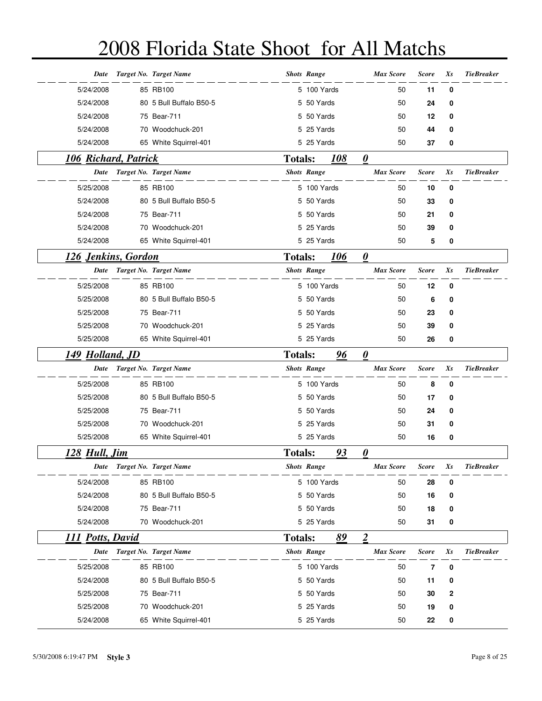| Date                        | Target No. Target Name  |                | <b>Shots Range</b> |     | <b>Max Score</b>      | <b>Score</b> | Xs       | <b>TieBreaker</b> |
|-----------------------------|-------------------------|----------------|--------------------|-----|-----------------------|--------------|----------|-------------------|
| 5/24/2008                   | 85 RB100                |                | 5 100 Yards        |     | 50                    | 11           | $\bf{0}$ |                   |
| 5/24/2008                   | 80 5 Bull Buffalo B50-5 |                | 5 50 Yards         |     | 50                    | 24           | 0        |                   |
| 5/24/2008                   | 75 Bear-711             |                | 5 50 Yards         |     | 50                    | 12           | 0        |                   |
| 5/24/2008                   | 70 Woodchuck-201        |                | 5 25 Yards         |     | 50                    | 44           | 0        |                   |
| 5/24/2008                   | 65 White Squirrel-401   |                | 5 25 Yards         |     | 50                    | 37           | 0        |                   |
| <b>106 Richard, Patrick</b> |                         | <b>Totals:</b> |                    | 108 | 0                     |              |          |                   |
| Date                        | Target No. Target Name  |                | <b>Shots Range</b> |     | <b>Max Score</b>      | <b>Score</b> | Xs       | <b>TieBreaker</b> |
| 5/25/2008                   | 85 RB100                |                | 5 100 Yards        |     | 50                    | 10           | 0        |                   |
| 5/24/2008                   | 80 5 Bull Buffalo B50-5 |                | 5 50 Yards         |     | 50                    | 33           | 0        |                   |
| 5/24/2008                   | 75 Bear-711             |                | 5 50 Yards         |     | 50                    | 21           | 0        |                   |
| 5/24/2008                   | 70 Woodchuck-201        |                | 5 25 Yards         |     | 50                    | 39           | 0        |                   |
| 5/24/2008                   | 65 White Squirrel-401   |                | 5 25 Yards         |     | 50                    | 5            | 0        |                   |
| 126 Jenkins, Gordon         |                         | <b>Totals:</b> |                    | 106 | $\boldsymbol{\theta}$ |              |          |                   |
| Date                        | Target No. Target Name  |                | <b>Shots Range</b> |     | <b>Max Score</b>      | <b>Score</b> | Xs       | <b>TieBreaker</b> |
| 5/25/2008                   | 85 RB100                |                | 5 100 Yards        |     | 50                    | 12           | 0        |                   |
| 5/25/2008                   | 80 5 Bull Buffalo B50-5 |                | 5 50 Yards         |     | 50                    | 6            | 0        |                   |
| 5/25/2008                   | 75 Bear-711             |                | 5 50 Yards         |     | 50                    | 23           | 0        |                   |
| 5/25/2008                   | 70 Woodchuck-201        |                | 5 25 Yards         |     | 50                    | 39           | 0        |                   |
| 5/25/2008                   | 65 White Squirrel-401   |                | 5 25 Yards         |     | 50                    | 26           | 0        |                   |
|                             |                         |                |                    |     |                       |              |          |                   |
| 149 Holland, JD             |                         | <b>Totals:</b> |                    | 96  | $\boldsymbol{\theta}$ |              |          |                   |
| Date                        | Target No. Target Name  |                | <b>Shots Range</b> |     | <b>Max Score</b>      | <b>Score</b> | Xs       | <b>TieBreaker</b> |
| 5/25/2008                   | 85 RB100                |                | 5 100 Yards        |     | 50                    | 8            | 0        |                   |
| 5/25/2008                   | 80 5 Bull Buffalo B50-5 |                | 5 50 Yards         |     | 50                    | 17           | 0        |                   |
| 5/25/2008                   | 75 Bear-711             |                | 5 50 Yards         |     | 50                    | 24           | 0        |                   |
| 5/25/2008                   | 70 Woodchuck-201        |                | 5 25 Yards         |     | 50                    | 31           | 0        |                   |
| 5/25/2008                   | 65 White Squirrel-401   |                | 5 25 Yards         |     | 50                    | 16           | 0        |                   |
| 128 Hull, Jim               |                         | <b>Totals:</b> |                    | 93  | 0                     |              |          |                   |
| Date                        | Target No. Target Name  |                | <b>Shots Range</b> |     | <b>Max Score</b>      | <b>Score</b> | Xs       | <b>TieBreaker</b> |
| 5/24/2008                   | 85 RB100                |                | 5 100 Yards        |     | 50                    | 28           | 0        |                   |
| 5/24/2008                   | 80 5 Bull Buffalo B50-5 |                | 5 50 Yards         |     | 50                    | 16           | 0        |                   |
| 5/24/2008                   | 75 Bear-711             |                | 5 50 Yards         |     | 50                    | 18           | 0        |                   |
| 5/24/2008                   | 70 Woodchuck-201        |                | 5 25 Yards         |     | 50                    | 31           | 0        |                   |
| 111 Potts, David            |                         | <b>Totals:</b> |                    | 89  | $\overline{2}$        |              |          |                   |
| Date                        | Target No. Target Name  |                | <b>Shots Range</b> |     | <b>Max Score</b>      | <b>Score</b> | $X_{S}$  | <b>TieBreaker</b> |
| 5/25/2008                   | 85 RB100                |                | 5 100 Yards        |     | 50                    | 7            | 0        |                   |
| 5/24/2008                   | 80 5 Bull Buffalo B50-5 |                | 5 50 Yards         |     | 50                    | 11           | 0        |                   |
| 5/25/2008                   | 75 Bear-711             |                | 5 50 Yards         |     | 50                    | 30           | 2        |                   |
| 5/25/2008                   | 70 Woodchuck-201        |                | 5 25 Yards         |     | 50                    | 19           | 0        |                   |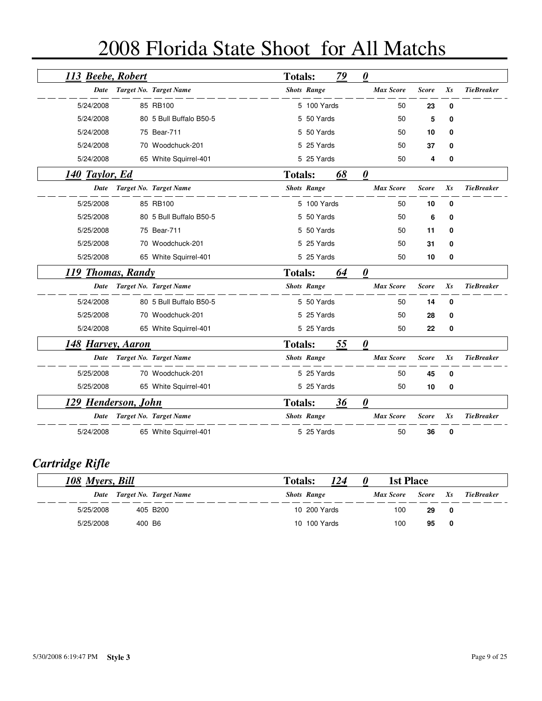|  |  |  | 2008 Florida State Shoot for All Matchs |
|--|--|--|-----------------------------------------|
|--|--|--|-----------------------------------------|

| 113 Beebe, Robert   |                         | <b>Totals:</b> |                    | 79 | $\boldsymbol{\theta}$ |              |         |                   |
|---------------------|-------------------------|----------------|--------------------|----|-----------------------|--------------|---------|-------------------|
| Date                | Target No. Target Name  |                | <b>Shots Range</b> |    | <b>Max Score</b>      | <b>Score</b> | $X_{S}$ | <b>TieBreaker</b> |
| 5/24/2008           | 85 RB100                |                | 5 100 Yards        |    | 50                    | 23           | 0       |                   |
| 5/24/2008           | 80 5 Bull Buffalo B50-5 | 5.             | 50 Yards           |    | 50                    | 5            | 0       |                   |
| 5/24/2008           | 75 Bear-711             |                | 5 50 Yards         |    | 50                    | 10           | 0       |                   |
| 5/24/2008           | 70 Woodchuck-201        |                | 25 Yards           |    | 50                    | 37           | 0       |                   |
| 5/24/2008           | 65 White Squirrel-401   |                | 5 25 Yards         |    | 50                    | 4            | 0       |                   |
| 140 Taylor, Ed      |                         | <b>Totals:</b> |                    | 68 | $\boldsymbol{\theta}$ |              |         |                   |
| Date                | Target No. Target Name  |                | <b>Shots Range</b> |    | <b>Max Score</b>      | <b>Score</b> | $X_{S}$ | <b>TieBreaker</b> |
| 5/25/2008           | 85 RB100                |                | 5 100 Yards        |    | 50                    | 10           | 0       |                   |
| 5/25/2008           | 80 5 Bull Buffalo B50-5 | 5              | 50 Yards           |    | 50                    | 6            | 0       |                   |
| 5/25/2008           | 75 Bear-711             |                | 5 50 Yards         |    | 50                    | 11           | 0       |                   |
| 5/25/2008           | 70 Woodchuck-201        | 5              | 25 Yards           |    | 50                    | 31           | 0       |                   |
| 5/25/2008           | 65 White Squirrel-401   |                | 5 25 Yards         |    | 50                    | 10           | 0       |                   |
| 119 Thomas, Randy   |                         | <b>Totals:</b> |                    | 64 | $\boldsymbol{\theta}$ |              |         |                   |
| Date                | Target No. Target Name  |                | <b>Shots Range</b> |    | <b>Max Score</b>      | <b>Score</b> | $X_{S}$ | <b>TieBreaker</b> |
| 5/24/2008           | 80 5 Bull Buffalo B50-5 |                | 5 50 Yards         |    | 50                    | 14           | 0       |                   |
| 5/25/2008           | 70 Woodchuck-201        |                | 5 25 Yards         |    | 50                    | 28           | 0       |                   |
| 5/24/2008           | 65 White Squirrel-401   |                | 5 25 Yards         |    | 50                    | 22           | 0       |                   |
| 148 Harvey, Aaron   |                         | <b>Totals:</b> |                    | 55 | $\boldsymbol{\theta}$ |              |         |                   |
| Date                | Target No. Target Name  |                | <b>Shots Range</b> |    | <b>Max Score</b>      | <b>Score</b> | $X_{S}$ | <b>TieBreaker</b> |
| 5/25/2008           | 70 Woodchuck-201        |                | 5 25 Yards         |    | 50                    | 45           | 0       |                   |
| 5/25/2008           | 65 White Squirrel-401   |                | 5 25 Yards         |    | 50                    | 10           | 0       |                   |
| 129 Henderson, John |                         | <b>Totals:</b> |                    | 36 | $\boldsymbol{\theta}$ |              |         |                   |
| Date                | Target No. Target Name  |                | <b>Shots Range</b> |    | <b>Max Score</b>      | <b>Score</b> | $X_{S}$ | <b>TieBreaker</b> |
| 5/24/2008           | 65 White Squirrel-401   |                | 5 25 Yards         |    | 50                    | 36           | 0       |                   |

## *Cartridge Rifle*

| 108 Myers, Bill |                             | 124<br><b>Totals:</b><br>U | <b>1st Place</b> |          |                         |             |
|-----------------|-----------------------------|----------------------------|------------------|----------|-------------------------|-------------|
|                 | Date Target No. Target Name | <b>Shots Range</b>         | Max Score        | Score Xs |                         | Tie Breaker |
| 5/25/2008       | 405 B200                    | 10 200 Yards               | 100              | 29       | $\overline{\mathbf{0}}$ |             |
| 5/25/2008       | 400 B6                      | 10 100 Yards               | 100              | 95       | - 0                     |             |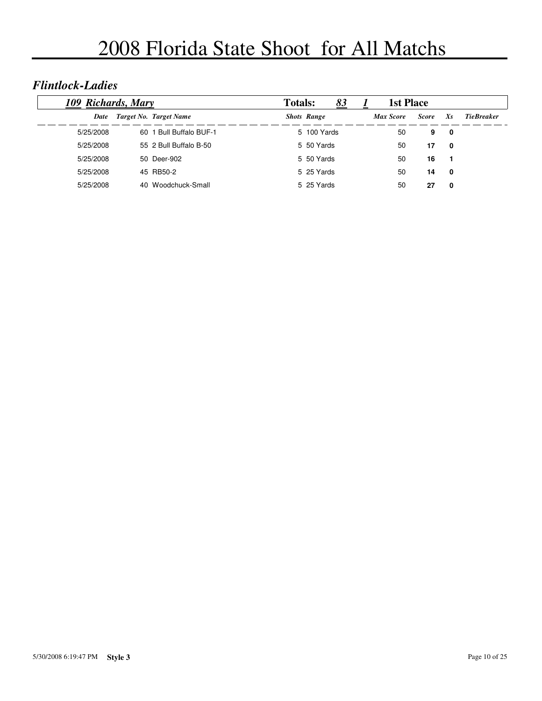#### *Flintlock-Ladies*

|           | 109 Richards, Mary |                        |  | 83<br><b>Totals:</b> |  |                  | <b>1st Place</b> |     |                   |
|-----------|--------------------|------------------------|--|----------------------|--|------------------|------------------|-----|-------------------|
| Date      |                    | Target No. Target Name |  | <b>Shots Range</b>   |  | <b>Max Score</b> | <b>Score</b>     | Xs  | <b>TieBreaker</b> |
| 5/25/2008 | 60                 | 1 Bull Buffalo BUF-1   |  | 5 100 Yards          |  | 50               | 9                | 0   |                   |
| 5/25/2008 |                    | 55 2 Bull Buffalo B-50 |  | 5 50 Yards           |  | 50               | 17               | 0   |                   |
| 5/25/2008 |                    | 50 Deer-902            |  | 5 50 Yards           |  | 50               | 16               | - 1 |                   |
| 5/25/2008 |                    | 45 RB50-2              |  | 5 25 Yards           |  | 50               | 14               | 0   |                   |
| 5/25/2008 |                    | 40 Woodchuck-Small     |  | 5 25 Yards           |  | 50               | 27               | 0   |                   |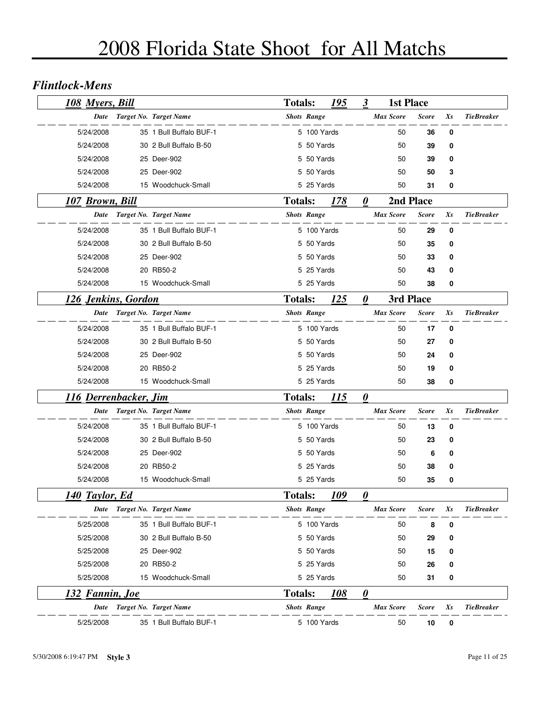#### *Flintlock-Mens*

| 108 Myers, Bill              |                             | <b>Totals:</b> |                    | 195         | $\boldsymbol{\beta}$  | <b>1st Place</b> |              |             |                   |
|------------------------------|-----------------------------|----------------|--------------------|-------------|-----------------------|------------------|--------------|-------------|-------------------|
| <b>Date</b>                  | Target No. Target Name      |                | <b>Shots Range</b> |             |                       | Max Score        | <b>Score</b> | Xs          | <b>TieBreaker</b> |
| 5/24/2008                    | 35 1 Bull Buffalo BUF-1     |                | 5 100 Yards        |             |                       | 50               | 36           | $\mathbf 0$ |                   |
| 5/24/2008                    | 30 2 Bull Buffalo B-50      |                | 5 50 Yards         |             |                       | 50               | 39           | 0           |                   |
| 5/24/2008                    | 25 Deer-902                 |                | 5 50 Yards         |             |                       | 50               | 39           | 0           |                   |
| 5/24/2008                    | 25 Deer-902                 |                | 5 50 Yards         |             |                       | 50               | 50           | 3           |                   |
| 5/24/2008                    | 15 Woodchuck-Small          |                | 5 25 Yards         |             |                       | 50               | 31           | 0           |                   |
| <b>107 Brown, Bill</b>       |                             | <b>Totals:</b> |                    | 178         | $\boldsymbol{\theta}$ |                  | 2nd Place    |             |                   |
| Date                         | Target No. Target Name      |                | <b>Shots Range</b> |             |                       | <b>Max Score</b> | <b>Score</b> | $X_{S}$     | <b>TieBreaker</b> |
| 5/24/2008                    | 35 1 Bull Buffalo BUF-1     |                | 5 100 Yards        |             |                       | 50               | 29           | 0           |                   |
| 5/24/2008                    | 30 2 Bull Buffalo B-50      |                | 5 50 Yards         |             |                       | 50               | 35           | 0           |                   |
| 5/24/2008                    | 25 Deer-902                 |                | 5 50 Yards         |             |                       | 50               | 33           | 0           |                   |
| 5/24/2008                    | 20 RB50-2                   |                | 5 25 Yards         |             |                       | 50               | 43           | 0           |                   |
| 5/24/2008                    | 15 Woodchuck-Small          |                | 5 25 Yards         |             |                       | 50               | 38           | 0           |                   |
| 126 Jenkins, Gordon          |                             | <b>Totals:</b> |                    | 125         | 0                     | 3rd Place        |              |             |                   |
|                              | Date Target No. Target Name |                | <b>Shots Range</b> |             |                       | <b>Max Score</b> | <b>Score</b> | Xs          | <b>TieBreaker</b> |
| 5/24/2008                    | 35 1 Bull Buffalo BUF-1     |                | 5 100 Yards        |             |                       | 50               | 17           | 0           |                   |
| 5/24/2008                    | 30 2 Bull Buffalo B-50      |                | 5 50 Yards         |             |                       | 50               | 27           | 0           |                   |
| 5/24/2008                    | 25 Deer-902                 |                | 5 50 Yards         |             |                       | 50               | 24           | 0           |                   |
| 5/24/2008                    | 20 RB50-2                   |                | 5 25 Yards         |             |                       | 50               | 19           | 0           |                   |
| 5/24/2008                    | 15 Woodchuck-Small          |                | 5 25 Yards         |             |                       | 50               | 38           | 0           |                   |
| <u>116 Derrenbacker, Jim</u> |                             | <b>Totals:</b> |                    | <u> 115</u> | $\boldsymbol{\theta}$ |                  |              |             |                   |
| Date                         | Target No. Target Name      |                | <b>Shots Range</b> |             |                       | <b>Max Score</b> | <b>Score</b> | Xs          | <b>TieBreaker</b> |
| 5/24/2008                    | 35 1 Bull Buffalo BUF-1     |                | 5 100 Yards        |             |                       | 50               | 13           | 0           |                   |
| 5/24/2008                    | 30 2 Bull Buffalo B-50      |                | 5 50 Yards         |             |                       | 50               | 23           | 0           |                   |
| 5/24/2008                    | 25 Deer-902                 |                | 5 50 Yards         |             |                       | 50               | 6            | 0           |                   |
| 5/24/2008                    | 20 RB50-2                   |                | 5 25 Yards         |             |                       | 50               | 38           | 0           |                   |
| 5/24/2008                    | 15 Woodchuck-Small          |                | 5 25 Yards         |             |                       | 50               | 35           | 0           |                   |
| 140 Taylor, Ed               |                             | <b>Totals:</b> |                    | 109         | 0                     |                  |              |             |                   |
| Date                         | Target No. Target Name      |                | <b>Shots Range</b> |             |                       | <b>Max Score</b> | <b>Score</b> | $X_{S}$     | <b>TieBreaker</b> |
| 5/25/2008                    | 35 1 Bull Buffalo BUF-1     |                | 5 100 Yards        |             |                       | 50               | 8            | 0           |                   |
| 5/25/2008                    | 30 2 Bull Buffalo B-50      |                | 5 50 Yards         |             |                       | 50               | 29           | 0           |                   |
| 5/25/2008                    | 25 Deer-902                 |                | 5 50 Yards         |             |                       | 50               | 15           | 0           |                   |
| 5/25/2008                    | 20 RB50-2                   |                | 5 25 Yards         |             |                       | 50               | 26           | 0           |                   |
| 5/25/2008                    | 15 Woodchuck-Small          |                | 5 25 Yards         |             |                       | 50               | 31           | 0           |                   |
| <u>132 Fannin, Joe</u>       |                             | <b>Totals:</b> |                    | <u> 108</u> | 0                     |                  |              |             |                   |
| Date                         | Target No. Target Name      |                | <b>Shots Range</b> |             |                       | <b>Max Score</b> | <b>Score</b> | Xs          | <b>TieBreaker</b> |
| 5/25/2008                    | 35 1 Bull Buffalo BUF-1     |                | 5 100 Yards        |             |                       | 50               | 10           | 0           |                   |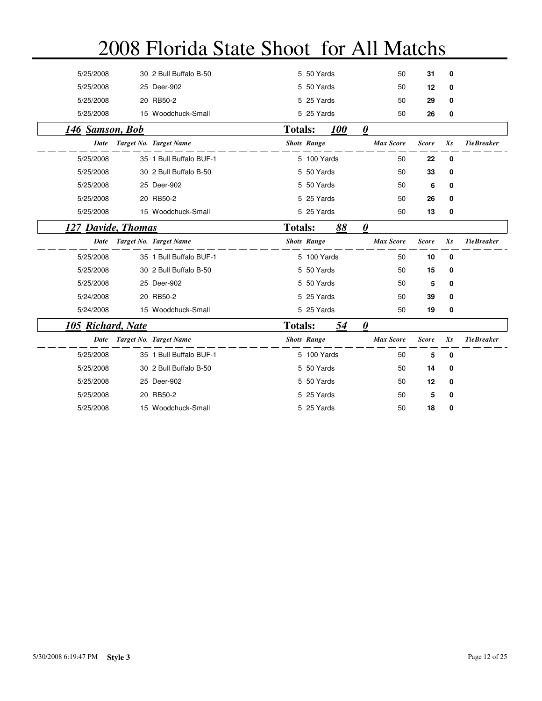| 5/25/2008                | 30 2 Bull Buffalo B-50  |                | 5 50 Yards         |                   | 50                    | 31           | 0           |                   |
|--------------------------|-------------------------|----------------|--------------------|-------------------|-----------------------|--------------|-------------|-------------------|
| 5/25/2008                | 25 Deer-902             |                | 5 50 Yards         |                   | 50                    | 12           | 0           |                   |
| 5/25/2008                | 20 RB50-2               |                | 5 25 Yards         |                   | 50                    | 29           | 0           |                   |
| 5/25/2008                | 15 Woodchuck-Small      |                | 5 25 Yards         |                   | 50                    | 26           | 0           |                   |
| <b>146 Samson, Bob</b>   |                         | <b>Totals:</b> |                    | <i><b>100</b></i> | 0                     |              |             |                   |
| Date                     | Target No. Target Name  |                | <b>Shots Range</b> |                   | <b>Max Score</b>      | <b>Score</b> | $X_{S}$     | <b>TieBreaker</b> |
| 5/25/2008                | 35 1 Bull Buffalo BUF-1 |                | 5 100 Yards        |                   | 50                    | 22           | $\mathbf 0$ |                   |
| 5/25/2008                | 30 2 Bull Buffalo B-50  |                | 5 50 Yards         |                   | 50                    | 33           | 0           |                   |
| 5/25/2008                | 25 Deer-902             |                | 5 50 Yards         |                   | 50                    | 6            | $\mathbf 0$ |                   |
| 5/25/2008                | 20 RB50-2               |                | 5 25 Yards         |                   | 50                    | 26           | 0           |                   |
| 5/25/2008                | 15 Woodchuck-Small      |                | 5 25 Yards         |                   | 50                    | 13           | 0           |                   |
| 127 Davide, Thomas       |                         | <b>Totals:</b> |                    | 88                | $\boldsymbol{\theta}$ |              |             |                   |
| Date                     | Target No. Target Name  |                | <b>Shots Range</b> |                   | <b>Max Score</b>      | <b>Score</b> | $X_{S}$     | <b>TieBreaker</b> |
| 5/25/2008                | 35 1 Bull Buffalo BUF-1 |                | 5 100 Yards        |                   | 50                    | 10           | $\mathbf 0$ |                   |
| 5/25/2008                | 30 2 Bull Buffalo B-50  |                | 5 50 Yards         |                   | 50                    | 15           | 0           |                   |
| 5/25/2008                | 25 Deer-902             |                | 5 50 Yards         |                   | 50                    | 5            | 0           |                   |
| 5/24/2008                | 20 RB50-2               |                | 5 25 Yards         |                   | 50                    | 39           | 0           |                   |
| 5/24/2008                | 15 Woodchuck-Small      |                | 5 25 Yards         |                   | 50                    | 19           | 0           |                   |
| <b>105 Richard, Nate</b> |                         | <b>Totals:</b> |                    | 54                | 0                     |              |             |                   |
| Date                     | Target No. Target Name  |                | <b>Shots Range</b> |                   | <b>Max Score</b>      | <b>Score</b> | Xs          | <b>TieBreaker</b> |
| 5/25/2008                | 35 1 Bull Buffalo BUF-1 |                | 5 100 Yards        |                   | 50                    | 5            | $\mathbf 0$ |                   |
| 5/25/2008                | 30 2 Bull Buffalo B-50  |                | 5 50 Yards         |                   | 50                    | 14           | 0           |                   |
| 5/25/2008                | 25 Deer-902             |                | 5 50 Yards         |                   | 50                    | 12           | 0           |                   |
| 5/25/2008                | 20 RB50-2               |                | 5 25 Yards         |                   | 50                    | 5            | 0           |                   |
| 5/25/2008                | 15 Woodchuck-Small      |                | 5 25 Yards         |                   | 50                    | 18           | 0           |                   |
|                          |                         |                |                    |                   |                       |              |             |                   |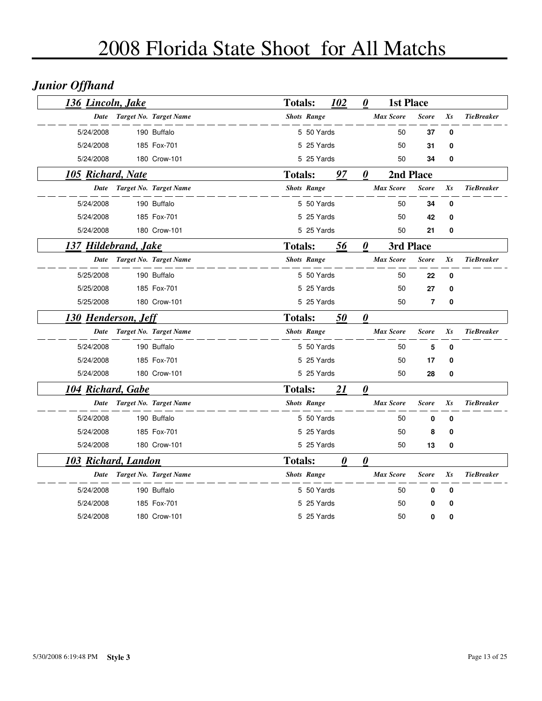## *Junior Offhand*

| 136 Lincoln, Jake          |                        | <b>Totals:</b> |                    | 102 | $\boldsymbol{\theta}$ | <b>1st Place</b> |                |             |                   |
|----------------------------|------------------------|----------------|--------------------|-----|-----------------------|------------------|----------------|-------------|-------------------|
| Date                       | Target No. Target Name |                | <b>Shots Range</b> |     |                       | <b>Max Score</b> | <b>Score</b>   | Xs          | <b>TieBreaker</b> |
| 5/24/2008                  | 190 Buffalo            |                | 5 50 Yards         |     |                       | 50               | 37             | 0           |                   |
| 5/24/2008                  | 185 Fox-701            |                | 5 25 Yards         |     |                       | 50               | 31             | 0           |                   |
| 5/24/2008                  | 180 Crow-101           |                | 5 25 Yards         |     |                       | 50               | 34             | 0           |                   |
| 105 Richard, Nate          |                        | <b>Totals:</b> |                    | 97  | $\boldsymbol{\theta}$ | 2nd Place        |                |             |                   |
| Date                       | Target No. Target Name |                | <b>Shots Range</b> |     |                       | <b>Max Score</b> | <b>Score</b>   | $X_{S}$     | <b>TieBreaker</b> |
| 5/24/2008                  | 190 Buffalo            |                | 5 50 Yards         |     |                       | 50               | 34             | $\mathbf 0$ |                   |
| 5/24/2008                  | 185 Fox-701            |                | 5 25 Yards         |     |                       | 50               | 42             | 0           |                   |
| 5/24/2008                  | 180 Crow-101           |                | 5 25 Yards         |     |                       | 50               | 21             | 0           |                   |
| 137 Hildebrand, Jake       |                        | <b>Totals:</b> |                    | 56  | $\boldsymbol{\theta}$ | 3rd Place        |                |             |                   |
| Date                       | Target No. Target Name |                | <b>Shots Range</b> |     |                       | <b>Max Score</b> | <b>Score</b>   | Xs          | <b>TieBreaker</b> |
| 5/25/2008                  | 190 Buffalo            |                | 5 50 Yards         |     |                       | 50               | 22             | 0           |                   |
| 5/25/2008                  | 185 Fox-701            |                | 5 25 Yards         |     |                       | 50               | 27             | 0           |                   |
| 5/25/2008                  | 180 Crow-101           |                | 5 25 Yards         |     |                       | 50               | $\overline{7}$ | 0           |                   |
| <b>130 Henderson, Jeff</b> |                        | <b>Totals:</b> |                    | 50  | $\boldsymbol{\theta}$ |                  |                |             |                   |
| Date                       | Target No. Target Name |                | <b>Shots Range</b> |     |                       | <b>Max Score</b> | <b>Score</b>   | Xs          | <b>TieBreaker</b> |
| 5/24/2008                  | 190 Buffalo            |                | 5 50 Yards         |     |                       | 50               | 5              | 0           |                   |
| 5/24/2008                  | 185 Fox-701            |                | 5 25 Yards         |     |                       | 50               | 17             | 0           |                   |
| 5/24/2008                  | 180 Crow-101           |                | 5 25 Yards         |     |                       | 50               | 28             | 0           |                   |
| <u>104 Richard, Gabe</u>   |                        | <b>Totals:</b> |                    | 21  | $\boldsymbol{\theta}$ |                  |                |             |                   |
| Date                       | Target No. Target Name |                | <b>Shots Range</b> |     |                       | <b>Max Score</b> | <b>Score</b>   | Xs          | <b>TieBreaker</b> |
| 5/24/2008                  | 190 Buffalo            |                | 5 50 Yards         |     |                       | 50               | 0              | 0           |                   |
| 5/24/2008                  | 185 Fox-701            |                | 5 25 Yards         |     |                       | 50               | 8              | $\mathbf 0$ |                   |
| 5/24/2008                  | 180 Crow-101           |                | 5 25 Yards         |     |                       | 50               | 13             | 0           |                   |
| 103 Richard, Landon        |                        | <b>Totals:</b> |                    | 0   | $\boldsymbol{\theta}$ |                  |                |             |                   |
| Date                       | Target No. Target Name |                | <b>Shots Range</b> |     |                       | <b>Max Score</b> | <b>Score</b>   | Xs          | <b>TieBreaker</b> |
| 5/24/2008                  | 190 Buffalo            |                | 5 50 Yards         |     |                       | 50               | $\bf{0}$       | $\mathbf 0$ |                   |
| 5/24/2008                  | 185 Fox-701            |                | 5 25 Yards         |     |                       | 50               | 0              | 0           |                   |
| 5/24/2008                  | 180 Crow-101           |                | 5 25 Yards         |     |                       | 50               | 0              | 0           |                   |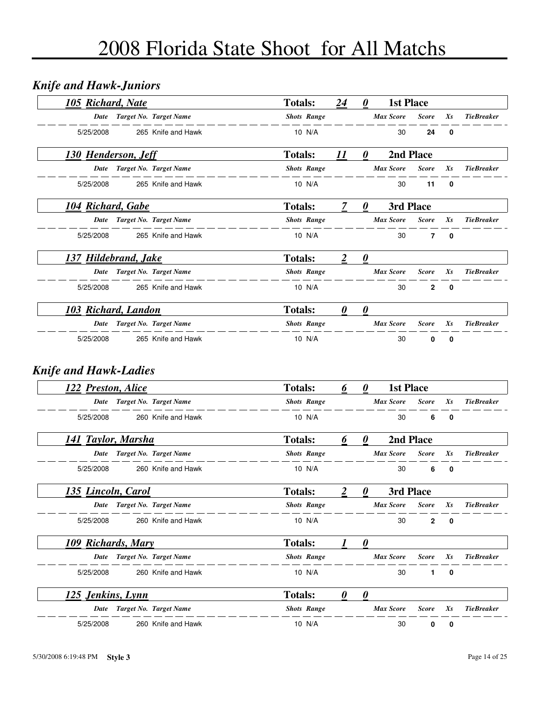### *Knife and Hawk-Juniors*

| 105 Richard, Nate          |                        | <b>Totals:</b>     | 24 | $\theta$              | <b>1st Place</b> |                |             |                   |
|----------------------------|------------------------|--------------------|----|-----------------------|------------------|----------------|-------------|-------------------|
| Date                       | Target No. Target Name | <b>Shots Range</b> |    |                       | <b>Max Score</b> | <b>Score</b>   | $X_{S}$     | <b>TieBreaker</b> |
| 5/25/2008                  | 265 Knife and Hawk     | 10 N/A             |    |                       | 30               | 24             | 0           |                   |
| <b>130 Henderson, Jeff</b> |                        | <b>Totals:</b>     | 11 | 0                     | 2nd Place        |                |             |                   |
| Date                       | Target No. Target Name | <b>Shots Range</b> |    |                       | <b>Max Score</b> | <b>Score</b>   | $X_{S}$     | <b>TieBreaker</b> |
| 5/25/2008                  | 265 Knife and Hawk     | 10 N/A             |    |                       | 30               | 11             | 0           |                   |
| 104 Richard, Gabe          |                        | <b>Totals:</b>     |    | $\boldsymbol{\theta}$ | 3rd Place        |                |             |                   |
| Date                       | Target No. Target Name | <b>Shots Range</b> |    |                       | <b>Max Score</b> | <b>Score</b>   | $X_{S}$     | <b>TieBreaker</b> |
| 5/25/2008                  | 265 Knife and Hawk     | 10 N/A             |    |                       | 30               | 7              | $\mathbf 0$ |                   |
| 137 Hildebrand, Jake       |                        | <b>Totals:</b>     |    | $\theta$              |                  |                |             |                   |
| Date                       | Target No. Target Name | <b>Shots Range</b> |    |                       | <b>Max Score</b> | <b>Score</b>   | Xs          | <b>TieBreaker</b> |
| 5/25/2008                  | 265 Knife and Hawk     | 10 N/A             |    |                       | 30               | $\overline{2}$ | $\mathbf 0$ |                   |
| 103 Richard, Landon        |                        | <b>Totals:</b>     | 0  | 0                     |                  |                |             |                   |
| Date                       | Target No. Target Name | <b>Shots Range</b> |    |                       | <b>Max Score</b> | <b>Score</b>   | $X_{S}$     | <b>TieBreaker</b> |
| 5/25/2008                  | 265 Knife and Hawk     | 10 N/A             |    |                       | 30               | 0              | 0           |                   |

#### *Knife and Hawk-Ladies*

| 122 Preston, Alice |                        | <b>Totals:</b>     | 6 | $\theta$ | <b>1st Place</b> |              |              |                   |
|--------------------|------------------------|--------------------|---|----------|------------------|--------------|--------------|-------------------|
| Date               | Target No. Target Name | <b>Shots Range</b> |   |          | <b>Max Score</b> | <b>Score</b> | $X_{S}$      | <b>TieBreaker</b> |
| 5/25/2008          | 260 Knife and Hawk     | 10 N/A             |   |          | 30               | 6            | 0            |                   |
| 141 Taylor, Marsha |                        | <b>Totals:</b>     | 6 | $\theta$ |                  | 2nd Place    |              |                   |
| Date               | Target No. Target Name | <b>Shots Range</b> |   |          | <b>Max Score</b> | <b>Score</b> | $X_{S}$      | <b>TieBreaker</b> |
| 5/25/2008          | 260 Knife and Hawk     | 10 N/A             |   |          | 30               | 6            | 0            |                   |
| 135 Lincoln, Carol |                        | <b>Totals:</b>     | 2 | $\theta$ | 3rd Place        |              |              |                   |
| Date               | Target No. Target Name | <b>Shots Range</b> |   |          | <b>Max Score</b> | <b>Score</b> | Xs           | <b>TieBreaker</b> |
| 5/25/2008          | 260 Knife and Hawk     | 10 N/A             |   |          | 30               | $\mathbf{2}$ | $\mathbf{0}$ |                   |
| 109 Richards, Mary |                        | <b>Totals:</b>     |   | 0        |                  |              |              |                   |
| Date               | Target No. Target Name | <b>Shots Range</b> |   |          | <b>Max Score</b> | <b>Score</b> | $X_{S}$      | <b>TieBreaker</b> |
| 5/25/2008          | 260 Knife and Hawk     | 10 N/A             |   |          | 30               | $\mathbf{1}$ | $\mathbf{0}$ |                   |
| 125 Jenkins, Lynn  |                        | <b>Totals:</b>     | 0 | 0        |                  |              |              |                   |
| Date               | Target No. Target Name | <b>Shots Range</b> |   |          | <b>Max Score</b> | <b>Score</b> | $X_{S}$      | <b>TieBreaker</b> |
| 5/25/2008          | 260 Knife and Hawk     | 10 N/A             |   |          | 30               | 0            | 0            |                   |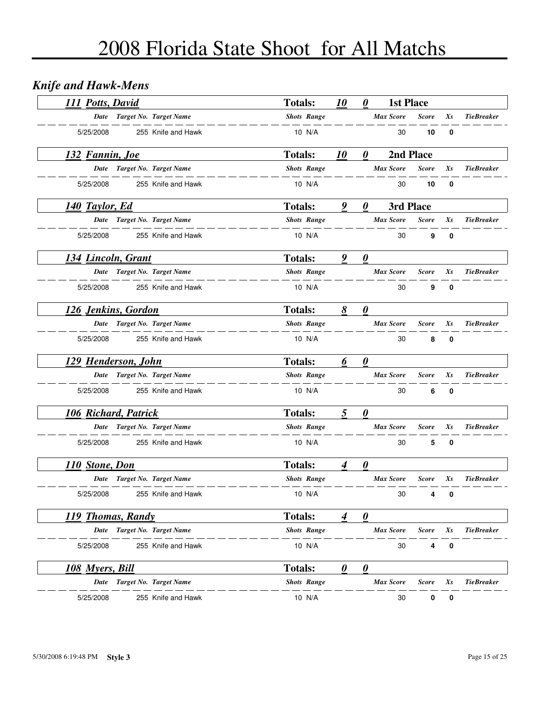## *Knife and Hawk-Mens*

| 111 Potts, David            |                             | <b>Totals:</b>     | <i><b>10</b></i> | 0                     | <b>1st Place</b> |              |             |                   |
|-----------------------------|-----------------------------|--------------------|------------------|-----------------------|------------------|--------------|-------------|-------------------|
|                             | Date Target No. Target Name | <b>Shots Range</b> |                  |                       | <b>Max Score</b> | <b>Score</b> | Xs          | <b>TieBreaker</b> |
| 5/25/2008                   | 255 Knife and Hawk          | 10 N/A             |                  |                       | 30               | 10           | 0           |                   |
| 132 Fannin, Joe             |                             | <b>Totals:</b>     | 10               | 0                     | 2nd Place        |              |             |                   |
|                             | Date Target No. Target Name | <b>Shots Range</b> |                  |                       | <b>Max Score</b> | <b>Score</b> | Xs          | <b>TieBreaker</b> |
| 5/25/2008                   | 255 Knife and Hawk          | 10 N/A             |                  |                       | 30               | 10           | 0           |                   |
| <b>140 Taylor, Ed.</b>      |                             | <b>Totals:</b>     | 9                | 0                     | 3rd Place        |              |             |                   |
|                             | Date Target No. Target Name | <b>Shots Range</b> |                  |                       | Max Score        | <b>Score</b> | Xs          | <b>TieBreaker</b> |
| 5/25/2008                   | 255 Knife and Hawk          | 10 N/A             |                  |                       | 30               | 9            | $\bf{0}$    |                   |
| 134 Lincoln, Grant          |                             | <b>Totals:</b>     | 9                | $\boldsymbol{\theta}$ |                  |              |             |                   |
|                             | Date Target No. Target Name | <b>Shots Range</b> |                  |                       | <b>Max Score</b> | <b>Score</b> | Xs          | <b>TieBreaker</b> |
| 5/25/2008                   | 255 Knife and Hawk          | 10 N/A             |                  |                       | 30               | 9            | $\bf{0}$    |                   |
| 126 Jenkins, Gordon         |                             | <b>Totals:</b>     | 8                | $\boldsymbol{\theta}$ |                  |              |             |                   |
|                             | Date Target No. Target Name | <b>Shots Range</b> |                  |                       | <b>Max Score</b> | <b>Score</b> | Xs          | <b>TieBreaker</b> |
| 5/25/2008                   | 255 Knife and Hawk          | 10 N/A             |                  |                       | 30               | 8            | $\mathbf 0$ |                   |
| 129 Henderson, John         |                             | <b>Totals:</b>     | 6                | $\boldsymbol{\theta}$ |                  |              |             |                   |
|                             | Date Target No. Target Name | <b>Shots Range</b> |                  |                       | <b>Max Score</b> | <b>Score</b> | Xs          | <b>TieBreaker</b> |
| 5/25/2008                   | 255 Knife and Hawk          | 10 N/A             |                  |                       | 30               | 6            | 0           |                   |
| <b>106 Richard, Patrick</b> |                             | <b>Totals:</b>     | 5                | $\boldsymbol{\theta}$ |                  |              |             |                   |
|                             | Date Target No. Target Name | <b>Shots Range</b> |                  |                       | <b>Max Score</b> | <b>Score</b> | Xs          | <b>TieBreaker</b> |
| 5/25/2008                   | 255 Knife and Hawk          | 10 N/A             |                  |                       | 30               | 5            | $\mathbf 0$ |                   |
| 110 Stone, Don              |                             | <b>Totals:</b>     | 4                | 0                     |                  |              |             |                   |
|                             | Date Target No. Target Name | <b>Shots Range</b> |                  |                       | <b>Max Score</b> | <b>Score</b> | Xs          | <b>TieBreaker</b> |
| 5/25/2008                   | 255 Knife and Hawk          | 10 N/A             |                  |                       | 30               | 4            | 0           |                   |
| 119 Thomas, Randy           |                             | <b>Totals:</b>     | 4                | 0                     |                  |              |             |                   |
|                             | Date Target No. Target Name | <b>Shots Range</b> |                  |                       | <b>Max Score</b> | <b>Score</b> | Xs          | <b>TieBreaker</b> |
| 5/25/2008                   | 255 Knife and Hawk          | 10 N/A             |                  |                       | 30               | 4            | 0           |                   |
| 108 Myers, Bill             |                             | <b>Totals:</b>     | 0                | 0                     |                  |              |             |                   |
| Date                        | Target No. Target Name      | <b>Shots Range</b> |                  |                       | <b>Max Score</b> | <b>Score</b> | Xs          | <b>TieBreaker</b> |
| 5/25/2008                   | 255 Knife and Hawk          | 10 N/A             |                  |                       | 30               | 0            | 0           |                   |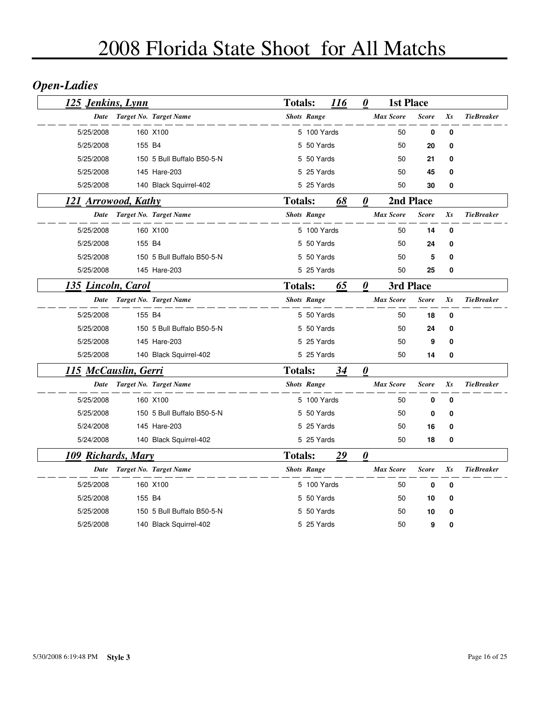## *Open-Ladies*

| <u>125</u> Jenkins, Lynn   |        |                             | <b>Totals:</b> |                    | 116 | $\boldsymbol{\theta}$ | <b>1st Place</b> |              |          |                   |
|----------------------------|--------|-----------------------------|----------------|--------------------|-----|-----------------------|------------------|--------------|----------|-------------------|
| <b>Date</b>                |        | Target No. Target Name      |                | <b>Shots Range</b> |     |                       | <b>Max Score</b> | <b>Score</b> | Xs       | <b>TieBreaker</b> |
| 5/25/2008                  |        | 160 X100                    |                | 5 100 Yards        |     |                       | 50               | 0            | $\bf{0}$ |                   |
| 5/25/2008                  | 155 B4 |                             |                | 5 50 Yards         |     |                       | 50               | 20           | 0        |                   |
| 5/25/2008                  |        | 150 5 Bull Buffalo B50-5-N  |                | 5 50 Yards         |     |                       | 50               | 21           | 0        |                   |
| 5/25/2008                  |        | 145 Hare-203                |                | 5 25 Yards         |     |                       | 50               | 45           | $\bf{0}$ |                   |
| 5/25/2008                  |        | 140 Black Squirrel-402      |                | 5 25 Yards         |     |                       | 50               | 30           | 0        |                   |
| <b>121 Arrowood, Kathy</b> |        |                             | <b>Totals:</b> |                    | 68  | $\boldsymbol{\theta}$ |                  | 2nd Place    |          |                   |
| Date                       |        | Target No. Target Name      |                | <b>Shots Range</b> |     |                       | <b>Max Score</b> | <b>Score</b> | Xs       | <b>TieBreaker</b> |
| 5/25/2008                  |        | 160 X100                    |                | 5 100 Yards        |     |                       | 50               | 14           | 0        |                   |
| 5/25/2008                  | 155 B4 |                             |                | 5 50 Yards         |     |                       | 50               | 24           | 0        |                   |
| 5/25/2008                  |        | 150 5 Bull Buffalo B50-5-N  |                | 5 50 Yards         |     |                       | 50               | 5            | 0        |                   |
| 5/25/2008                  |        | 145 Hare-203                |                | 5 25 Yards         |     |                       | 50               | 25           | 0        |                   |
| 135 Lincoln, Carol         |        |                             | <b>Totals:</b> |                    | 65  | $\boldsymbol{\theta}$ | 3rd Place        |              |          |                   |
| Date                       |        | Target No. Target Name      |                | <b>Shots Range</b> |     |                       | <b>Max Score</b> | <b>Score</b> | Xs       | <b>TieBreaker</b> |
| 5/25/2008                  | 155 B4 |                             |                | 5 50 Yards         |     |                       | 50               | 18           | 0        |                   |
| 5/25/2008                  |        | 150 5 Bull Buffalo B50-5-N  |                | 5 50 Yards         |     |                       | 50               | 24           | $\bf{0}$ |                   |
| 5/25/2008                  |        | 145 Hare-203                |                | 5 25 Yards         |     |                       | 50               | 9            | 0        |                   |
| 5/25/2008                  |        | 140 Black Squirrel-402      |                | 5 25 Yards         |     |                       | 50               | 14           | 0        |                   |
| 115 McCauslin, Gerri       |        |                             | <b>Totals:</b> |                    | 34  | $\boldsymbol{\theta}$ |                  |              |          |                   |
|                            |        | Date Target No. Target Name |                | <b>Shots Range</b> |     |                       | <b>Max Score</b> | <b>Score</b> | Xs       | <b>TieBreaker</b> |
| 5/25/2008                  |        | 160 X100                    |                | 5 100 Yards        |     |                       | 50               | 0            | $\bf{0}$ |                   |
| 5/25/2008                  |        | 150 5 Bull Buffalo B50-5-N  |                | 5 50 Yards         |     |                       | 50               | 0            | 0        |                   |
| 5/24/2008                  |        | 145 Hare-203                |                | 5 25 Yards         |     |                       | 50               | 16           | 0        |                   |
| 5/24/2008                  |        | 140 Black Squirrel-402      |                | 5 25 Yards         |     |                       | 50               | 18           | 0        |                   |
| 109 Richards, Mary         |        |                             | <b>Totals:</b> |                    | 29  | $\boldsymbol{\theta}$ |                  |              |          |                   |
| Date                       |        | Target No. Target Name      |                | <b>Shots Range</b> |     |                       | <b>Max Score</b> | <b>Score</b> | Xs       | <b>TieBreaker</b> |
| 5/25/2008                  |        | 160 X100                    |                | 5 100 Yards        |     |                       | 50               | 0            | $\bf{0}$ |                   |
| 5/25/2008                  | 155 B4 |                             |                | 5 50 Yards         |     |                       | 50               | 10           | 0        |                   |
| 5/25/2008                  |        | 150 5 Bull Buffalo B50-5-N  |                | 5 50 Yards         |     |                       | 50               | 10           | 0        |                   |
| 5/25/2008                  |        | 140 Black Squirrel-402      |                | 5 25 Yards         |     |                       | 50               | 9            | $\bf{0}$ |                   |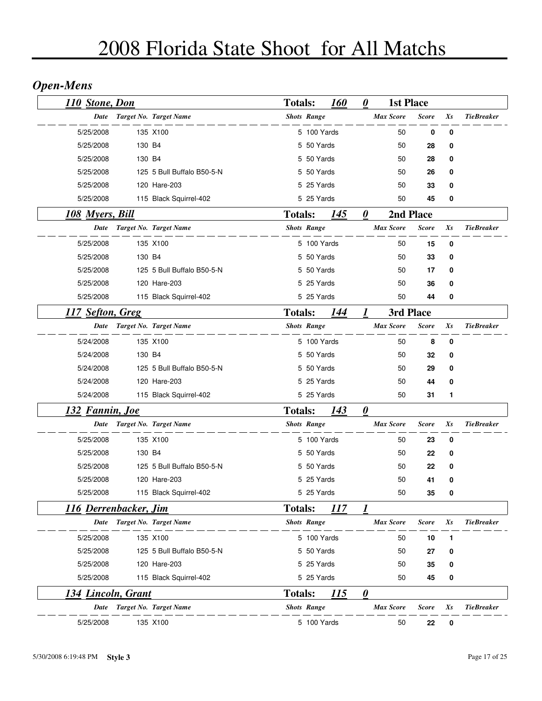## *Open-Mens*

| <b>110 Stone, Don</b>     |        |                             | <b>Totals:</b> |                    | 160 | $\boldsymbol{\theta}$ | <b>1st Place</b> |              |         |                   |  |
|---------------------------|--------|-----------------------------|----------------|--------------------|-----|-----------------------|------------------|--------------|---------|-------------------|--|
| Date                      |        | Target No. Target Name      |                | <b>Shots Range</b> |     |                       | <b>Max Score</b> | <b>Score</b> | Xs      | <b>TieBreaker</b> |  |
| 5/25/2008                 |        | 135 X100                    |                | 5 100 Yards        |     |                       | 50               | 0            | 0       |                   |  |
| 5/25/2008                 | 130 B4 |                             |                | 5 50 Yards         |     |                       | 50               | 28           | 0       |                   |  |
| 5/25/2008                 | 130 B4 |                             |                | 5 50 Yards         |     |                       | 50               | 28           | 0       |                   |  |
| 5/25/2008                 |        | 125 5 Bull Buffalo B50-5-N  |                | 5 50 Yards         |     |                       | 50               | 26           | 0       |                   |  |
| 5/25/2008                 |        | 120 Hare-203                |                | 5 25 Yards         |     |                       | 50               | 33           | 0       |                   |  |
| 5/25/2008                 |        | 115 Black Squirrel-402      |                | 5 25 Yards         |     |                       | 50               | 45           | 0       |                   |  |
| <u>108 Myers, Bill</u>    |        |                             | <b>Totals:</b> |                    | 145 | $\boldsymbol{\theta}$ | 2nd Place        |              |         |                   |  |
| <b>Date</b>               |        | Target No. Target Name      |                | <b>Shots Range</b> |     |                       | <b>Max Score</b> | <b>Score</b> | $X_{S}$ | <b>TieBreaker</b> |  |
| 5/25/2008                 |        | 135 X100                    |                | 5 100 Yards        |     |                       | 50               | 15           | 0       |                   |  |
| 5/25/2008                 | 130 B4 |                             |                | 5 50 Yards         |     |                       | 50               | 33           | 0       |                   |  |
| 5/25/2008                 |        | 125 5 Bull Buffalo B50-5-N  |                | 5 50 Yards         |     |                       | 50               | 17           | 0       |                   |  |
| 5/25/2008                 |        | 120 Hare-203                |                | 5 25 Yards         |     |                       | 50               | 36           | 0       |                   |  |
| 5/25/2008                 |        | 115 Black Squirrel-402      |                | 5 25 Yards         |     |                       | 50               | 44           | 0       |                   |  |
| 117 Sefton, Greg          |        |                             | <b>Totals:</b> |                    | 144 | 1                     | 3rd Place        |              |         |                   |  |
| Date                      |        | Target No. Target Name      |                | <b>Shots Range</b> |     |                       | <b>Max Score</b> | <b>Score</b> | Xs      | <b>TieBreaker</b> |  |
| 5/24/2008                 |        | 135 X100                    |                | 5 100 Yards        |     |                       | 50               | 8            | 0       |                   |  |
| 5/24/2008                 | 130 B4 |                             |                | 5 50 Yards         |     |                       | 50               | 32           | 0       |                   |  |
| 5/24/2008                 |        | 125 5 Bull Buffalo B50-5-N  |                | 5 50 Yards         |     |                       | 50               | 29           | 0       |                   |  |
| 5/24/2008                 |        | 120 Hare-203                |                | 5 25 Yards         |     |                       | 50               | 44           | 0       |                   |  |
| 5/24/2008                 |        | 115 Black Squirrel-402      |                | 5 25 Yards         |     |                       | 50               | 31           | 1       |                   |  |
| <u>132 Fannin, Joe</u>    |        |                             | <b>Totals:</b> |                    | 143 | $\boldsymbol{\theta}$ |                  |              |         |                   |  |
| Date                      |        | Target No. Target Name      |                | <b>Shots Range</b> |     |                       | <b>Max Score</b> | <b>Score</b> | Xs      | <b>TieBreaker</b> |  |
| 5/25/2008                 |        | 135 X100                    |                | 5 100 Yards        |     |                       | 50               | 23           | 0       |                   |  |
| 5/25/2008                 | 130 B4 |                             |                | 5 50 Yards         |     |                       | 50               | 22           | 0       |                   |  |
| 5/25/2008                 |        | 125 5 Bull Buffalo B50-5-N  |                | 5 50 Yards         |     |                       | 50               | 22           | 0       |                   |  |
| 5/25/2008                 |        | 120 Hare-203                |                | 5 25 Yards         |     |                       | 50               | 41           | 0       |                   |  |
| 5/25/2008                 |        | 115 Black Squirrel-402      |                | 5 25 Yards         |     |                       | 50               | 35           | 0       |                   |  |
| 116 Derrenbacker, Jim     |        |                             | <b>Totals:</b> |                    | 117 | 1                     |                  |              |         |                   |  |
| Date                      |        | Target No. Target Name      |                | <b>Shots Range</b> |     |                       | <b>Max Score</b> | <b>Score</b> | Xs      | <b>TieBreaker</b> |  |
| 5/25/2008                 |        | 135 X100                    |                | 5 100 Yards        |     |                       | 50               | 10           | 1       |                   |  |
| 5/25/2008                 |        | 125 5 Bull Buffalo B50-5-N  |                | 5 50 Yards         |     |                       | 50               | 27           | 0       |                   |  |
| 5/25/2008                 |        | 120 Hare-203                |                | 5 25 Yards         |     |                       | 50               | 35           | 0       |                   |  |
| 5/25/2008                 |        | 115 Black Squirrel-402      |                | 5 25 Yards         |     |                       | 50               | 45           | 0       |                   |  |
| <u>134 Lincoln, Grant</u> |        |                             | <b>Totals:</b> |                    | 115 | $\boldsymbol{\theta}$ |                  |              |         |                   |  |
|                           |        | Date Target No. Target Name |                | <b>Shots Range</b> |     |                       | <b>Max Score</b> | <b>Score</b> | Xs      | <b>TieBreaker</b> |  |
| 5/25/2008                 |        | 135 X100                    |                | 5 100 Yards        |     |                       | 50               | 22           | 0       |                   |  |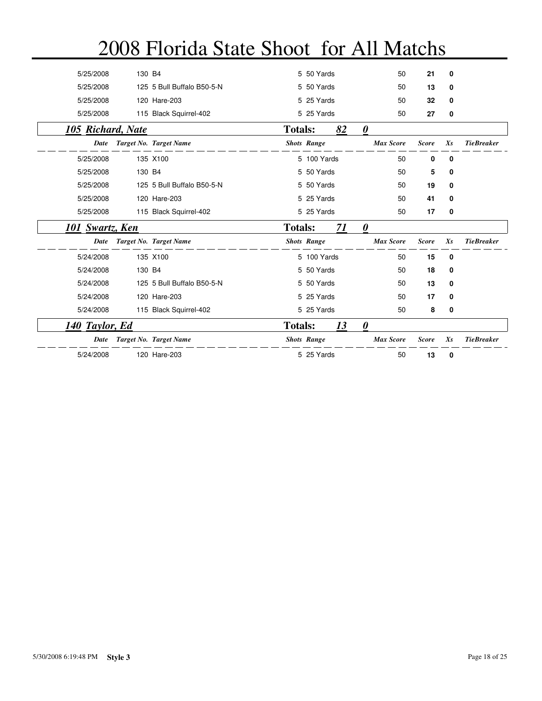| 5/25/2008         | 130 B4 |                            |                | 5 50 Yards         |    | 50                    | 21           | 0       |                   |
|-------------------|--------|----------------------------|----------------|--------------------|----|-----------------------|--------------|---------|-------------------|
| 5/25/2008         |        | 125 5 Bull Buffalo B50-5-N |                | 5 50 Yards         |    | 50                    | 13           | 0       |                   |
| 5/25/2008         |        | 120 Hare-203               |                | 5 25 Yards         |    | 50                    | 32           | 0       |                   |
| 5/25/2008         |        | 115 Black Squirrel-402     |                | 5 25 Yards         |    | 50                    | 27           | 0       |                   |
| 105 Richard, Nate |        |                            | <b>Totals:</b> |                    | 82 | $\boldsymbol{\theta}$ |              |         |                   |
| <b>Date</b>       |        | Target No. Target Name     |                | <b>Shots Range</b> |    | <b>Max Score</b>      | <b>Score</b> | $X_{S}$ | <b>TieBreaker</b> |
| 5/25/2008         |        | 135 X100                   |                | 5 100 Yards        |    | 50                    | 0            | 0       |                   |
| 5/25/2008         | 130 B4 |                            |                | 5 50 Yards         |    | 50                    | 5            | 0       |                   |
| 5/25/2008         |        | 125 5 Bull Buffalo B50-5-N |                | 5 50 Yards         |    | 50                    | 19           | 0       |                   |
| 5/25/2008         |        | 120 Hare-203               |                | 5 25 Yards         |    | 50                    | 41           | 0       |                   |
| 5/25/2008         |        | 115 Black Squirrel-402     |                | 5 25 Yards         |    | 50                    | 17           | 0       |                   |
| 101 Swartz, Ken   |        |                            | <b>Totals:</b> |                    | 71 | $\boldsymbol{\theta}$ |              |         |                   |
| Date              |        | Target No. Target Name     |                | <b>Shots Range</b> |    | <b>Max Score</b>      | <b>Score</b> | $X_{S}$ | <b>TieBreaker</b> |
| 5/24/2008         |        | 135 X100                   |                | 5 100 Yards        |    | 50                    | 15           | 0       |                   |
| 5/24/2008         | 130 B4 |                            |                | 5 50 Yards         |    | 50                    | 18           | 0       |                   |
| 5/24/2008         |        | 125 5 Bull Buffalo B50-5-N |                | 5 50 Yards         |    | 50                    | 13           | 0       |                   |
| 5/24/2008         |        | 120 Hare-203               |                | 5 25 Yards         |    | 50                    | 17           | 0       |                   |
| 5/24/2008         |        | 115 Black Squirrel-402     |                | 5 25 Yards         |    | 50                    | 8            | 0       |                   |
| 140 Taylor, Ed    |        |                            | <b>Totals:</b> |                    | 13 | $\boldsymbol{\theta}$ |              |         |                   |
| Date              |        | Target No. Target Name     |                | <b>Shots Range</b> |    | <b>Max Score</b>      | <b>Score</b> | Xs      | <b>TieBreaker</b> |
| 5/24/2008         |        | 120 Hare-203               |                | 5 25 Yards         |    | 50                    | 13           | 0       |                   |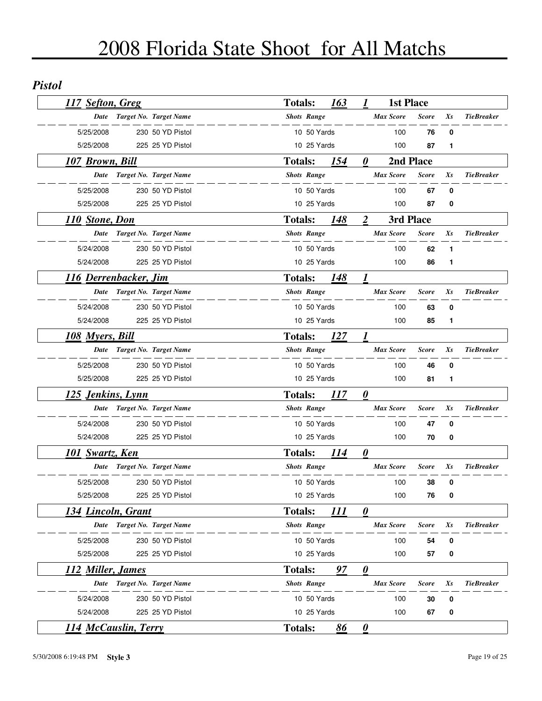#### *Pistol*

| 117 Sefton, Greg            |                               | <b>Totals:</b> |                    | 163 | 1                     | <b>1st Place</b> |              |         |                   |
|-----------------------------|-------------------------------|----------------|--------------------|-----|-----------------------|------------------|--------------|---------|-------------------|
| Date                        | Target No. Target Name        |                | <b>Shots Range</b> |     |                       | Max Score        | <b>Score</b> | Xs      | <b>TieBreaker</b> |
| 5/25/2008                   | 230 50 YD Pistol              |                | 10 50 Yards        |     |                       | 100              | 76           | 0       |                   |
| 5/25/2008                   | 225 25 YD Pistol              |                | 10 25 Yards        |     |                       | 100              | 87           | 1       |                   |
| 107 Brown, Bill             |                               | <b>Totals:</b> |                    | 154 | 0                     | 2nd Place        |              |         |                   |
| <b>Date</b>                 | Target No. Target Name        |                | <b>Shots Range</b> |     |                       | <b>Max Score</b> | <b>Score</b> | $X_{S}$ | <b>TieBreaker</b> |
| 5/25/2008                   | 230 50 YD Pistol              |                | 10 50 Yards        |     |                       | 100              | 67           | 0       |                   |
| 5/25/2008                   | 225 25 YD Pistol              |                | 10 25 Yards        |     |                       | 100              | 87           | 0       |                   |
| 110 Stone, Don              |                               | <b>Totals:</b> |                    | 148 | $\overline{2}$        | 3rd Place        |              |         |                   |
| Date                        | Target No. Target Name        |                | <b>Shots Range</b> |     |                       | <b>Max Score</b> | <b>Score</b> | Xs      | <b>TieBreaker</b> |
| 5/24/2008                   | 230 50 YD Pistol              |                | 10 50 Yards        |     |                       | 100              | 62           | 1       |                   |
| 5/24/2008                   | 225 25 YD Pistol              |                | 10 25 Yards        |     |                       | 100              | 86           | 1       |                   |
| 116 Derrenbacker, Jim       |                               | <b>Totals:</b> |                    | 148 | 1                     |                  |              |         |                   |
| <b>Date</b>                 | <b>Target No. Target Name</b> |                | <b>Shots Range</b> |     |                       | <b>Max Score</b> | <b>Score</b> | Xs      | <b>TieBreaker</b> |
| 5/24/2008                   | 230 50 YD Pistol              |                | 10 50 Yards        |     |                       | 100              | 63           | 0       |                   |
| 5/24/2008                   | 225 25 YD Pistol              |                | 10 25 Yards        |     |                       | 100              | 85           | 1       |                   |
| <b>108 Myers, Bill</b>      |                               | <b>Totals:</b> |                    | 127 |                       |                  |              |         |                   |
|                             | Date Target No. Target Name   |                | <b>Shots Range</b> |     |                       | <b>Max Score</b> | <b>Score</b> | Xs      | <b>TieBreaker</b> |
| 5/25/2008                   | 230 50 YD Pistol              |                | 10 50 Yards        |     |                       | 100              | 46           | 0       |                   |
| 5/25/2008                   | 225 25 YD Pistol              |                | 10 25 Yards        |     |                       | 100              | 81           | 1       |                   |
| <u>125 Jenkins, Lynn</u>    |                               | <b>Totals:</b> |                    | 117 | $\boldsymbol{\theta}$ |                  |              |         |                   |
| Date                        | Target No. Target Name        |                | <b>Shots Range</b> |     |                       | <b>Max Score</b> | <b>Score</b> | Xs      | <b>TieBreaker</b> |
| 5/24/2008                   | 230 50 YD Pistol              |                | 10 50 Yards        |     |                       | 100              | 47           | 0       |                   |
| 5/24/2008                   | 225 25 YD Pistol              |                | 10 25 Yards        |     |                       | 100              | 70           | 0       |                   |
| <u>101 Swartz, Ken</u>      |                               | <b>Totals:</b> |                    | 114 | $\boldsymbol{\theta}$ |                  |              |         |                   |
|                             | Date Target No. Target Name   |                | <b>Shots Range</b> |     |                       | <b>Max Score</b> | <b>Score</b> | Xs      | <b>TieBreaker</b> |
| 5/25/2008                   | 230 50 YD Pistol              |                | 10 50 Yards        |     |                       | 100              | 38           | 0       |                   |
| 5/25/2008                   | 225 25 YD Pistol              |                | 10 25 Yards        |     |                       | 100              | 76           | 0       |                   |
| 134 Lincoln, Grant          |                               | <b>Totals:</b> |                    | 111 | $\boldsymbol{\theta}$ |                  |              |         |                   |
| Date                        | Target No. Target Name        |                | <b>Shots Range</b> |     |                       | <b>Max Score</b> | Score        | Xs      | <b>TieBreaker</b> |
| 5/25/2008                   | 230 50 YD Pistol              |                | 10 50 Yards        |     |                       | 100              | 54           | 0       |                   |
| 5/25/2008                   | 225 25 YD Pistol              |                | 10 25 Yards        |     |                       | 100              | 57           | 0       |                   |
| 112 Miller, James           |                               | <b>Totals:</b> |                    | 97  | $\boldsymbol{\theta}$ |                  |              |         |                   |
| Date                        | Target No. Target Name        |                | <b>Shots Range</b> |     |                       | <b>Max Score</b> | <b>Score</b> | Xs      | <b>TieBreaker</b> |
| 5/24/2008                   | 230 50 YD Pistol              |                | 10 50 Yards        |     |                       | 100              | 30           | 0       |                   |
| 5/24/2008                   | 225 25 YD Pistol              |                | 10 25 Yards        |     |                       | 100              | 67           | 0       |                   |
| <b>114 McCauslin, Terry</b> |                               | <b>Totals:</b> |                    | 86  | $\boldsymbol{\theta}$ |                  |              |         |                   |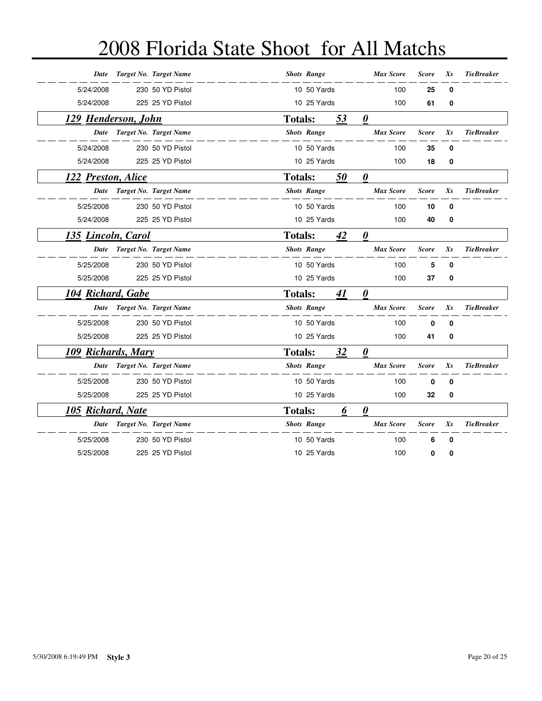| Date                | Target No. Target Name        |                | <b>Shots Range</b> |    | <b>Max Score</b>      | <b>Score</b> | Xs | <b>TieBreaker</b> |
|---------------------|-------------------------------|----------------|--------------------|----|-----------------------|--------------|----|-------------------|
| 5/24/2008           | 230 50 YD Pistol              |                | 10 50 Yards        |    | 100                   | 25           | 0  |                   |
| 5/24/2008           | 225 25 YD Pistol              |                | 10 25 Yards        |    | 100                   | 61           | 0  |                   |
| 129 Henderson, John |                               | <b>Totals:</b> |                    | 53 | $\boldsymbol{\theta}$ |              |    |                   |
| Date                | Target No. Target Name        |                | <b>Shots Range</b> |    | <b>Max Score</b>      | <b>Score</b> | Xs | <b>TieBreaker</b> |
| 5/24/2008           | 230 50 YD Pistol              |                | 10 50 Yards        |    | 100                   | 35           | 0  |                   |
| 5/24/2008           | 225 25 YD Pistol              |                | 10 25 Yards        |    | 100                   | 18           | 0  |                   |
| 122 Preston, Alice  |                               | <b>Totals:</b> |                    | 50 | $\boldsymbol{\theta}$ |              |    |                   |
| Date                | <b>Target No. Target Name</b> |                | <b>Shots Range</b> |    | <b>Max Score</b>      | <b>Score</b> | Xs | <b>TieBreaker</b> |
| 5/25/2008           | 230 50 YD Pistol              |                | 10 50 Yards        |    | 100                   | 10           | 0  |                   |
| 5/24/2008           | 225 25 YD Pistol              |                | 10 25 Yards        |    | 100                   | 40           | 0  |                   |
| 135 Lincoln, Carol  |                               | <b>Totals:</b> |                    | 42 | $\boldsymbol{\theta}$ |              |    |                   |
| Date                | Target No. Target Name        |                | <b>Shots Range</b> |    | <b>Max Score</b>      | <b>Score</b> | Xs | <b>TieBreaker</b> |
| 5/25/2008           | 230 50 YD Pistol              |                | 10 50 Yards        |    | 100                   | 5            | 0  |                   |
| 5/25/2008           | 225 25 YD Pistol              |                | 10 25 Yards        |    | 100                   | 37           | 0  |                   |
| 104 Richard, Gabe   |                               | <b>Totals:</b> |                    | 41 | $\boldsymbol{\theta}$ |              |    |                   |
| Date                | Target No. Target Name        |                | <b>Shots Range</b> |    | <b>Max Score</b>      | <b>Score</b> | Xs | <b>TieBreaker</b> |
| 5/25/2008           | 230 50 YD Pistol              |                | 10 50 Yards        |    | 100                   | $\bf{0}$     | 0  |                   |
| 5/25/2008           | 225 25 YD Pistol              |                | 10 25 Yards        |    | 100                   | 41           | 0  |                   |
| 109 Richards, Mary  |                               | <b>Totals:</b> |                    | 32 | $\boldsymbol{\theta}$ |              |    |                   |
| Date                | Target No. Target Name        |                | <b>Shots Range</b> |    | <b>Max Score</b>      | <b>Score</b> | Xs | <b>TieBreaker</b> |
| 5/25/2008           | 230 50 YD Pistol              |                | 10 50 Yards        |    | 100                   | $\bf{0}$     | 0  |                   |
| 5/25/2008           | 225 25 YD Pistol              |                | 10 25 Yards        |    | 100                   | 32           | 0  |                   |
| 105 Richard, Nate   |                               | <b>Totals:</b> |                    | 6  | $\boldsymbol{\theta}$ |              |    |                   |
| Date                | Target No. Target Name        |                | <b>Shots Range</b> |    | <b>Max Score</b>      | <b>Score</b> | Xs | <b>TieBreaker</b> |
| 5/25/2008           | 230 50 YD Pistol              |                | 10 50 Yards        |    | 100                   | 6            | 0  |                   |
| 5/25/2008           | 225 25 YD Pistol              |                | 10 25 Yards        |    | 100                   | 0            | 0  |                   |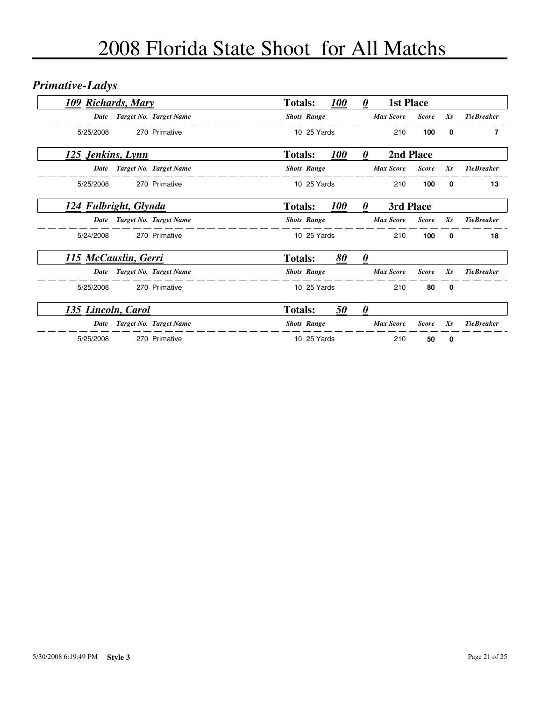## *Primative-Ladys*

| 109 Richards, Mary    |                        | <b>Totals:</b>     |             | <i><b>100</b></i> | $\boldsymbol{\theta}$ | <b>1st Place</b> |              |              |                   |
|-----------------------|------------------------|--------------------|-------------|-------------------|-----------------------|------------------|--------------|--------------|-------------------|
| Date                  | Target No. Target Name | <b>Shots Range</b> |             |                   |                       | <b>Max Score</b> | <b>Score</b> | $X_{S}$      | <b>TieBreaker</b> |
| 5/25/2008             | 270 Primative          |                    | 10 25 Yards |                   |                       | 210              | 100          | $\mathbf{0}$ | 7                 |
| 125 Jenkins, Lynn     |                        | <b>Totals:</b>     |             | <i><b>100</b></i> | 0                     | 2nd Place        |              |              |                   |
| Date                  | Target No. Target Name | <b>Shots Range</b> |             |                   |                       | <b>Max Score</b> | <b>Score</b> | $X_{S}$      | <b>TieBreaker</b> |
| 5/25/2008             | 270 Primative          |                    | 10 25 Yards |                   |                       | 210              | 100          | 0            | 13                |
| 124 Fulbright, Glynda |                        | <b>Totals:</b>     |             | <b>100</b>        | 0                     | 3rd Place        |              |              |                   |
| Date                  | Target No. Target Name | <b>Shots Range</b> |             |                   |                       | <b>Max Score</b> | <b>Score</b> | $X_{S}$      | <b>TieBreaker</b> |
| 5/24/2008             | 270 Primative          |                    | 10 25 Yards |                   |                       | 210              | 100          | 0            | 18                |
| 115 McCauslin, Gerri  |                        | <b>Totals:</b>     |             | 80                | 0                     |                  |              |              |                   |
| Date                  | Target No. Target Name | <b>Shots Range</b> |             |                   |                       | <b>Max Score</b> | <b>Score</b> | $X_{S}$      | <b>TieBreaker</b> |
| 5/25/2008             | 270 Primative          |                    | 10 25 Yards |                   |                       | 210              | 80           | $\mathbf 0$  |                   |
| 135 Lincoln, Carol    |                        | <b>Totals:</b>     |             | 50                | 0                     |                  |              |              |                   |
| Date                  | Target No. Target Name | <b>Shots Range</b> |             |                   |                       | <b>Max Score</b> | <b>Score</b> | $X_{S}$      | <b>TieBreaker</b> |
| 5/25/2008             | 270 Primative          |                    | 10 25 Yards |                   |                       | 210              | 50           | 0            |                   |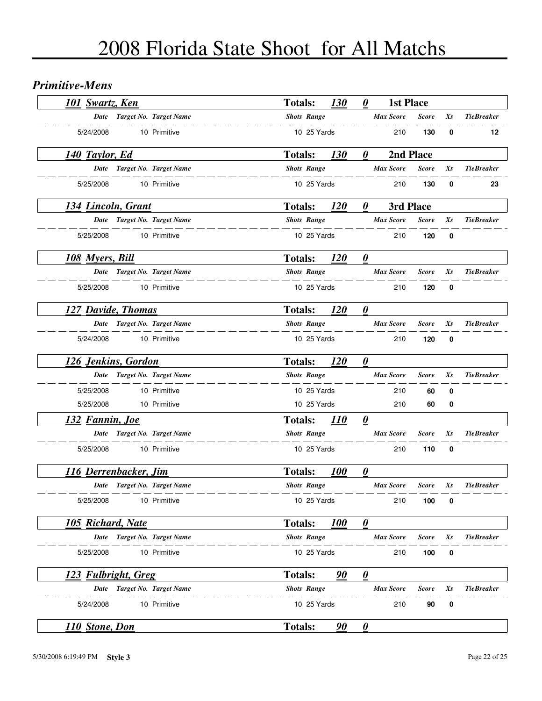#### *Primitive-Mens*

| 101 Swartz, Ken            |  |                             | <b>Totals:</b>     |             | <b>130</b>        | 0                     | <b>1st Place</b> |              |             |                   |  |
|----------------------------|--|-----------------------------|--------------------|-------------|-------------------|-----------------------|------------------|--------------|-------------|-------------------|--|
|                            |  | Date Target No. Target Name | <b>Shots Range</b> |             |                   |                       | <b>Max Score</b> | <b>Score</b> | Xs          | <b>TieBreaker</b> |  |
| 5/24/2008                  |  | 10 Primitive                |                    | 10 25 Yards |                   |                       | 210              | 130          | 0           | 12                |  |
| 140 Taylor, Ed             |  |                             | <b>Totals:</b>     |             | <b>130</b>        | 0                     |                  | 2nd Place    |             |                   |  |
|                            |  | Date Target No. Target Name | <b>Shots Range</b> |             |                   |                       | <b>Max Score</b> | <b>Score</b> | Xs          | <b>TieBreaker</b> |  |
| 5/25/2008                  |  | 10 Primitive                |                    | 10 25 Yards |                   |                       | 210              | 130          | 0           | 23                |  |
| 134 Lincoln, Grant         |  |                             | <b>Totals:</b>     |             | <u>120</u>        | 0                     | 3rd Place        |              |             |                   |  |
|                            |  | Date Target No. Target Name | <b>Shots Range</b> |             |                   |                       | <b>Max Score</b> | <b>Score</b> | Xs          | <b>TieBreaker</b> |  |
| 5/25/2008                  |  | 10 Primitive                |                    | 10 25 Yards |                   |                       | 210              | 120          | $\mathbf 0$ |                   |  |
| <u>108 Myers, Bill</u>     |  |                             | <b>Totals:</b>     |             | <b>120</b>        | $\boldsymbol{\theta}$ |                  |              |             |                   |  |
| Date                       |  | Target No. Target Name      | <b>Shots Range</b> |             |                   |                       | <b>Max Score</b> | <b>Score</b> | Xs          | <b>TieBreaker</b> |  |
| 5/25/2008                  |  | 10 Primitive                |                    | 10 25 Yards |                   |                       | 210              | 120          | $\bf{0}$    |                   |  |
| 127 Davide, Thomas         |  |                             | <b>Totals:</b>     |             | <b>120</b>        | $\boldsymbol{\theta}$ |                  |              |             |                   |  |
|                            |  | Date Target No. Target Name | <b>Shots Range</b> |             |                   |                       | <b>Max Score</b> | <b>Score</b> | Xs          | <b>TieBreaker</b> |  |
| 5/24/2008                  |  | 10 Primitive                |                    | 10 25 Yards |                   |                       | 210              | 120          | 0           |                   |  |
| <u>126 Jenkins, Gordon</u> |  |                             | <b>Totals:</b>     |             | 120               | $\boldsymbol{\theta}$ |                  |              |             |                   |  |
| Date                       |  | Target No. Target Name      | <b>Shots Range</b> |             |                   |                       | <b>Max Score</b> | <b>Score</b> | Xs          | <b>TieBreaker</b> |  |
| 5/25/2008                  |  | 10 Primitive                |                    | 10 25 Yards |                   |                       | 210              | 60           | 0           |                   |  |
| 5/25/2008                  |  | 10 Primitive                |                    | 10 25 Yards |                   |                       | 210              | 60           | 0           |                   |  |
| <u>132 Fannin, Joe</u>     |  |                             | <b>Totals:</b>     |             | <i>110</i>        | $\boldsymbol{\theta}$ |                  |              |             |                   |  |
|                            |  | Date Target No. Target Name | <b>Shots Range</b> |             |                   |                       | <b>Max Score</b> | <b>Score</b> | Xs          | <b>TieBreaker</b> |  |
| 5/25/2008                  |  | 10 Primitive                |                    | 10 25 Yards |                   |                       | 210              | 110          | 0           |                   |  |
| 116 Derrenbacker, Jim      |  |                             | <b>Totals:</b>     |             | <b>100</b>        | 0                     |                  |              |             |                   |  |
|                            |  | Date Target No. Target Name | <b>Shots Range</b> |             |                   |                       | <b>Max Score</b> | <b>Score</b> | Xs          | <b>TieBreaker</b> |  |
| 5/25/2008                  |  | 10 Primitive                |                    | 10 25 Yards |                   |                       | 210              | 100          | 0           |                   |  |
| <b>105 Richard, Nate</b>   |  |                             | <b>Totals:</b>     |             | <i><b>100</b></i> | $\boldsymbol{\theta}$ |                  |              |             |                   |  |
| Date                       |  | Target No. Target Name      | <b>Shots Range</b> |             |                   |                       | <b>Max Score</b> | <b>Score</b> | Xs          | <b>TieBreaker</b> |  |
| 5/25/2008                  |  | 10 Primitive                |                    | 10 25 Yards |                   |                       | 210              | 100          | 0           |                   |  |
| 123 Fulbright, Greg        |  |                             | <b>Totals:</b>     |             | 90                | $\boldsymbol{\theta}$ |                  |              |             |                   |  |
|                            |  | Date Target No. Target Name | <b>Shots Range</b> |             |                   |                       | <b>Max Score</b> | <b>Score</b> | Xs          | <b>TieBreaker</b> |  |
| 5/24/2008                  |  | 10 Primitive                |                    | 10 25 Yards |                   |                       | 210              | 90           | 0           |                   |  |
| <b>110 Stone, Don</b>      |  |                             | <b>Totals:</b>     |             | 90                | $\boldsymbol{\theta}$ |                  |              |             |                   |  |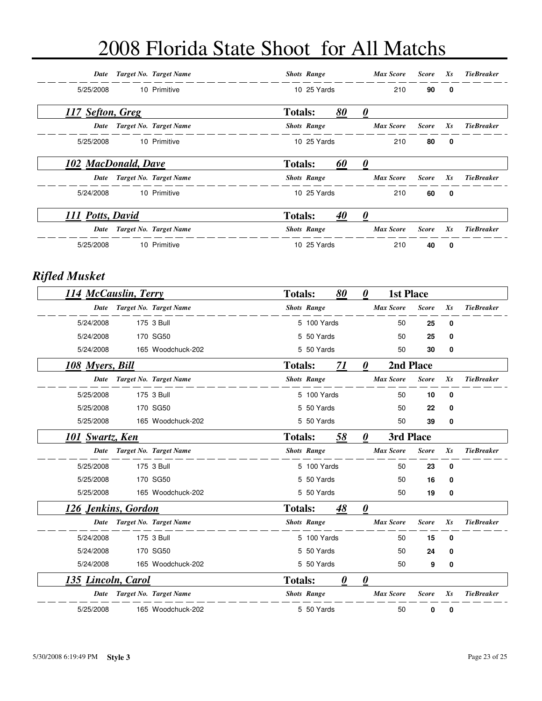| Date                | Target No. Target Name      |                | <b>Shots Range</b> |    | Max Score        | <b>Score</b> | $X_{S}$      | <b>TieBreaker</b> |
|---------------------|-----------------------------|----------------|--------------------|----|------------------|--------------|--------------|-------------------|
| 5/25/2008           | 10 Primitive                |                | 10 25 Yards        |    | 210              | 90           | 0            |                   |
| 117 Sefton, Greg    |                             | <b>Totals:</b> |                    | 80 | 0                |              |              |                   |
| Date                | Target No. Target Name      |                | <b>Shots Range</b> |    | <b>Max Score</b> | <b>Score</b> | $X_{S}$      | <b>TieBreaker</b> |
| 5/25/2008           | 10 Primitive                |                | 10 25 Yards        |    | 210              | 80           | 0            |                   |
| 102 MacDonald, Dave |                             | <b>Totals:</b> |                    | 60 | 0                |              |              |                   |
|                     | Date Target No. Target Name |                | <b>Shots Range</b> |    | <b>Max Score</b> | <b>Score</b> | $X_{S}$      | <b>TieBreaker</b> |
| 5/24/2008           | 10 Primitive                |                | 10 25 Yards        |    | 210              | 60           | 0            |                   |
| 111 Potts, David    |                             | <b>Totals:</b> |                    | 40 | 0                |              |              |                   |
| <b>Date</b>         | Target No. Target Name      |                | <b>Shots Range</b> |    | <b>Max Score</b> | <b>Score</b> | $X_{S}$      | <b>TieBreaker</b> |
| 5/25/2008           | 10 Primitive                |                | 10 25 Yards        |    | 210              | 40           | $\mathbf{0}$ |                   |

### *Rifled Musket*

| 114 McCauslin, Terry   |                        | 80<br><b>Totals:</b>        | <b>1st Place</b><br>0 |              |             |                   |
|------------------------|------------------------|-----------------------------|-----------------------|--------------|-------------|-------------------|
| <b>Date</b>            | Target No. Target Name | <b>Shots Range</b>          | <b>Max Score</b>      | <b>Score</b> | $X_{S}$     | <b>TieBreaker</b> |
| 5/24/2008              | 175 3 Bull             | 5 100 Yards                 | 50                    | 25           | 0           |                   |
| 5/24/2008              | 170 SG50               | 5 50 Yards                  | 50                    | 25           | 0           |                   |
| 5/24/2008              | 165 Woodchuck-202      | 5 50 Yards                  | 50                    | 30           | 0           |                   |
| <u>108 Myers, Bill</u> |                        | <b>Totals:</b><br><u>71</u> | 0                     | 2nd Place    |             |                   |
| <b>Date</b>            | Target No. Target Name | <b>Shots Range</b>          | <b>Max Score</b>      | <b>Score</b> | $X_{S}$     | <b>TieBreaker</b> |
| 5/25/2008              | 175 3 Bull             | 5 100 Yards                 | 50                    | 10           | 0           |                   |
| 5/25/2008              | 170 SG50               | 5 50 Yards                  | 50                    | 22           | 0           |                   |
| 5/25/2008              | 165 Woodchuck-202      | 5 50 Yards                  | 50                    | 39           | 0           |                   |
| <b>101 Swartz, Ken</b> |                        | <b>Totals:</b><br>58        | 3rd Place<br>0        |              |             |                   |
| <b>Date</b>            | Target No. Target Name | <b>Shots Range</b>          | <b>Max Score</b>      | <b>Score</b> | $X_{S}$     | <b>TieBreaker</b> |
| 5/25/2008              | 175 3 Bull             | 5 100 Yards                 | 50                    | 23           | $\mathbf 0$ |                   |
| 5/25/2008              | 170 SG50               | 5 50 Yards                  | 50                    | 16           | 0           |                   |
| 5/25/2008              | 165 Woodchuck-202      | 5 50 Yards                  | 50                    | 19           | 0           |                   |
| 126 Jenkins, Gordon    |                        | 48<br><b>Totals:</b>        | 0                     |              |             |                   |
| Date                   | Target No. Target Name | <b>Shots Range</b>          | <b>Max Score</b>      | <b>Score</b> | $X_{S}$     | <b>TieBreaker</b> |
| 5/24/2008              | 175 3 Bull             | 5 100 Yards                 | 50                    | 15           | 0           |                   |
| 5/24/2008              | 170 SG50               | 5 50 Yards                  | 50                    | 24           | 0           |                   |
| 5/24/2008              | 165 Woodchuck-202      | 5 50 Yards                  | 50                    | 9            | 0           |                   |
| 135 Lincoln, Carol     |                        | 0<br><b>Totals:</b>         | 0                     |              |             |                   |
| Date                   | Target No. Target Name | <b>Shots Range</b>          | <b>Max Score</b>      | <b>Score</b> | $X_{S}$     | <b>TieBreaker</b> |
| 5/25/2008              | 165 Woodchuck-202      | 5 50 Yards                  | 50                    | 0            | 0           |                   |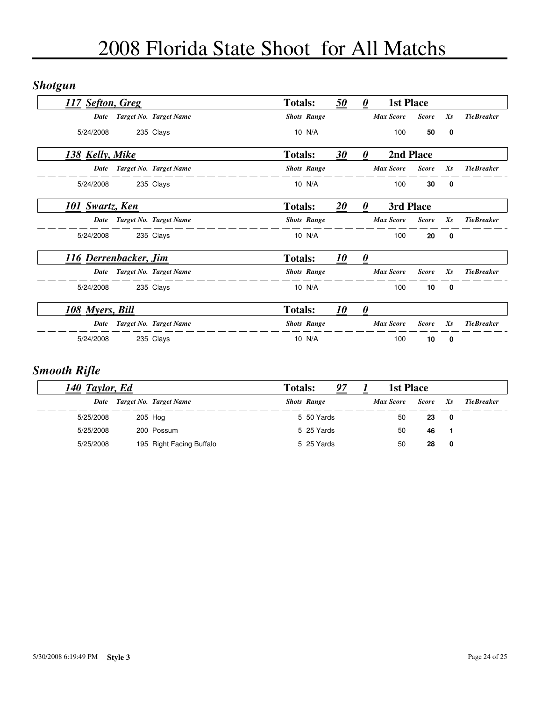### *Shotgun*

| 117 Sefton, Greg      |                        | <b>Totals:</b>     | 50 | $\theta$              | 1st Place        |              |             |                   |
|-----------------------|------------------------|--------------------|----|-----------------------|------------------|--------------|-------------|-------------------|
| Date                  | Target No. Target Name | <b>Shots Range</b> |    |                       | <b>Max Score</b> | <b>Score</b> | $X_{S}$     | <b>TieBreaker</b> |
| 5/24/2008             | 235 Clays              | 10 N/A             |    |                       | 100              | 50           | 0           |                   |
| 138 Kelly, Mike       |                        | <b>Totals:</b>     | 30 | 0                     | 2nd Place        |              |             |                   |
| Date                  | Target No. Target Name | <b>Shots Range</b> |    |                       | <b>Max Score</b> | <b>Score</b> | $X_{S}$     | <b>TieBreaker</b> |
| 5/24/2008             | 235 Clays              | 10 N/A             |    |                       | 100              | 30           | 0           |                   |
| 101 Swartz, Ken       |                        | <b>Totals:</b>     | 20 | 0                     | 3rd Place        |              |             |                   |
| Date                  | Target No. Target Name | <b>Shots Range</b> |    |                       | <b>Max Score</b> | <b>Score</b> | Xs          | <b>TieBreaker</b> |
| 5/24/2008             | 235 Clays              | 10 N/A             |    |                       | 100              | 20           | 0           |                   |
| 116 Derrenbacker, Jim |                        | <b>Totals:</b>     | 10 | $\boldsymbol{\theta}$ |                  |              |             |                   |
| Date                  | Target No. Target Name | <b>Shots Range</b> |    |                       | <b>Max Score</b> | <b>Score</b> | Xs          | <b>TieBreaker</b> |
| 5/24/2008             | 235 Clays              | 10 N/A             |    |                       | 100              | 10           | $\mathbf 0$ |                   |
| 108 Myers, Bill       |                        | <b>Totals:</b>     | 10 | $\boldsymbol{\theta}$ |                  |              |             |                   |
| Date                  | Target No. Target Name | <b>Shots Range</b> |    |                       | <b>Max Score</b> | <b>Score</b> | $X_{S}$     | <b>TieBreaker</b> |
| 5/24/2008             | 235 Clays              | 10 N/A             |    |                       | 100              | 10           | 0           |                   |

### *Smooth Rifle*

| 140 Taylor, Ed |           |  |                          | <b>Totals:</b> | 97                 | 1st Place        |              |         |                   |
|----------------|-----------|--|--------------------------|----------------|--------------------|------------------|--------------|---------|-------------------|
|                | Date      |  | Target No. Target Name   |                | <b>Shots Range</b> | <b>Max Score</b> | <b>Score</b> | $X_{S}$ | <b>TieBreaker</b> |
|                | 5/25/2008 |  | 205 Hog                  |                | 5 50 Yards         | 50               | 23           | 0       |                   |
|                | 5/25/2008 |  | 200 Possum               |                | 5 25 Yards         | 50               | 46           |         |                   |
|                | 5/25/2008 |  | 195 Right Facing Buffalo |                | 5 25 Yards         | 50               | 28           | 0       |                   |